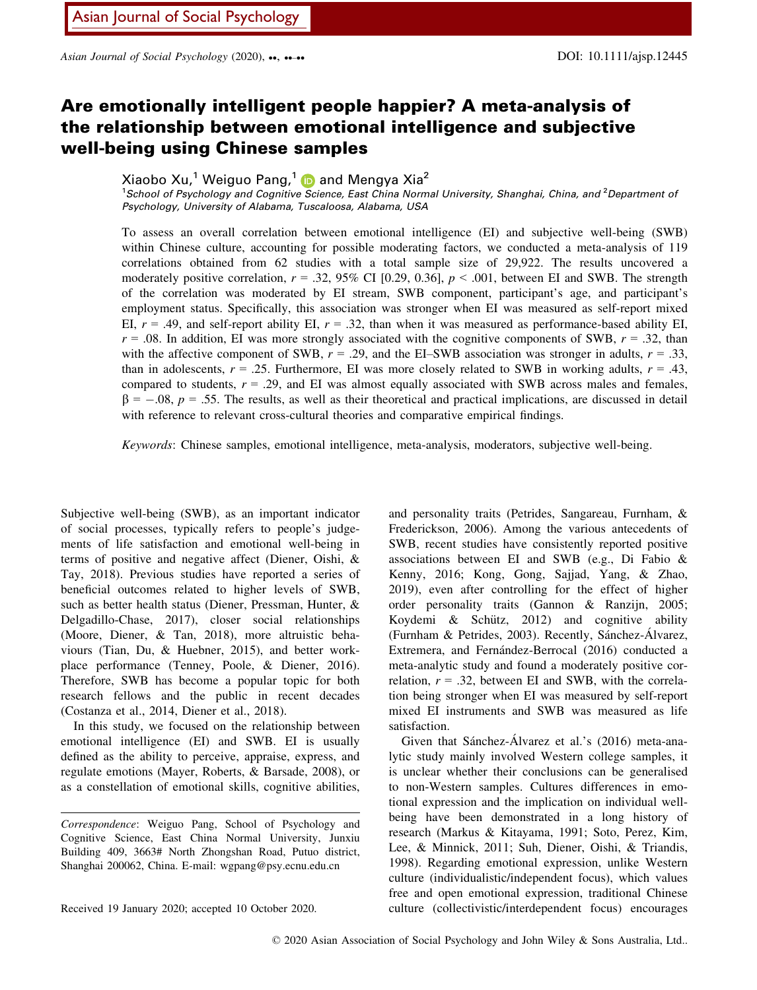Asian Journal of Social Psychology (2020), , – DOI: 10.1111/ajsp.12445

# Are emotionally intelligent people happier? A meta-analysis of the relationship between emotional intelligence and subjective well-being using Chinese samples

Xiaobo Xu,<sup>1</sup> Weiguo Pang,<sup>1</sup> and Mengya Xia<sup>2</sup>

<sup>1</sup>School of Psychology and Cognitive Science, East China Normal University, Shanghai, China, and <sup>2</sup> Department oi Psychology, University of Alabama, Tuscaloosa, Alabama, USA

To assess an overall correlation between emotional intelligence (EI) and subjective well-being (SWB) within Chinese culture, accounting for possible moderating factors, we conducted a meta-analysis of 119 correlations obtained from 62 studies with a total sample size of 29,922. The results uncovered a moderately positive correlation,  $r = .32, 95\%$  CI [0.29, 0.36],  $p < .001$ , between EI and SWB. The strength of the correlation was moderated by EI stream, SWB component, participant's age, and participant's employment status. Specifically, this association was stronger when EI was measured as self-report mixed EI,  $r = .49$ , and self-report ability EI,  $r = .32$ , than when it was measured as performance-based ability EI,  $r = .08$ . In addition, EI was more strongly associated with the cognitive components of SWB,  $r = .32$ , than with the affective component of SWB,  $r = .29$ , and the EI–SWB association was stronger in adults,  $r = .33$ , than in adolescents,  $r = .25$ . Furthermore, EI was more closely related to SWB in working adults,  $r = .43$ , compared to students,  $r = .29$ , and EI was almost equally associated with SWB across males and females,  $\beta$  = -.08, p = .55. The results, as well as their theoretical and practical implications, are discussed in detail with reference to relevant cross-cultural theories and comparative empirical findings.

Keywords: Chinese samples, emotional intelligence, meta-analysis, moderators, subjective well-being.

Subjective well-being (SWB), as an important indicator of social processes, typically refers to people's judgements of life satisfaction and emotional well-being in terms of positive and negative affect (Diener, Oishi, & Tay, 2018). Previous studies have reported a series of beneficial outcomes related to higher levels of SWB, such as better health status (Diener, Pressman, Hunter, & Delgadillo-Chase, 2017), closer social relationships (Moore, Diener, & Tan, 2018), more altruistic behaviours (Tian, Du, & Huebner, 2015), and better workplace performance (Tenney, Poole, & Diener, 2016). Therefore, SWB has become a popular topic for both research fellows and the public in recent decades (Costanza et al., 2014, Diener et al., 2018).

In this study, we focused on the relationship between emotional intelligence (EI) and SWB. EI is usually defined as the ability to perceive, appraise, express, and regulate emotions (Mayer, Roberts, & Barsade, 2008), or as a constellation of emotional skills, cognitive abilities, and personality traits (Petrides, Sangareau, Furnham, & Frederickson, 2006). Among the various antecedents of SWB, recent studies have consistently reported positive associations between EI and SWB (e.g., Di Fabio & Kenny, 2016; Kong, Gong, Sajjad, Yang, & Zhao, 2019), even after controlling for the effect of higher order personality traits (Gannon & Ranzijn, 2005; Koydemi  $\&$  Schütz, 2012) and cognitive ability (Furnham & Petrides, 2003). Recently, Sánchez-Álvarez, Extremera, and Fernández-Berrocal (2016) conducted a meta-analytic study and found a moderately positive correlation,  $r = .32$ , between EI and SWB, with the correlation being stronger when EI was measured by self-report mixed EI instruments and SWB was measured as life satisfaction.

Given that Sánchez-Álvarez et al.'s (2016) meta-analytic study mainly involved Western college samples, it is unclear whether their conclusions can be generalised to non-Western samples. Cultures differences in emotional expression and the implication on individual wellbeing have been demonstrated in a long history of research (Markus & Kitayama, 1991; Soto, Perez, Kim, Lee, & Minnick, 2011; Suh, Diener, Oishi, & Triandis, 1998). Regarding emotional expression, unlike Western culture (individualistic/independent focus), which values free and open emotional expression, traditional Chinese culture (collectivistic/interdependent focus) encourages

Received 19 January 2020; accepted 10 October 2020.

Correspondence: Weiguo Pang, School of Psychology and Cognitive Science, East China Normal University, Junxiu Building 409, 3663# North Zhongshan Road, Putuo district, Shanghai 200062, China. E-mail: [wgpang@psy.ecnu.edu.cn](mailto:)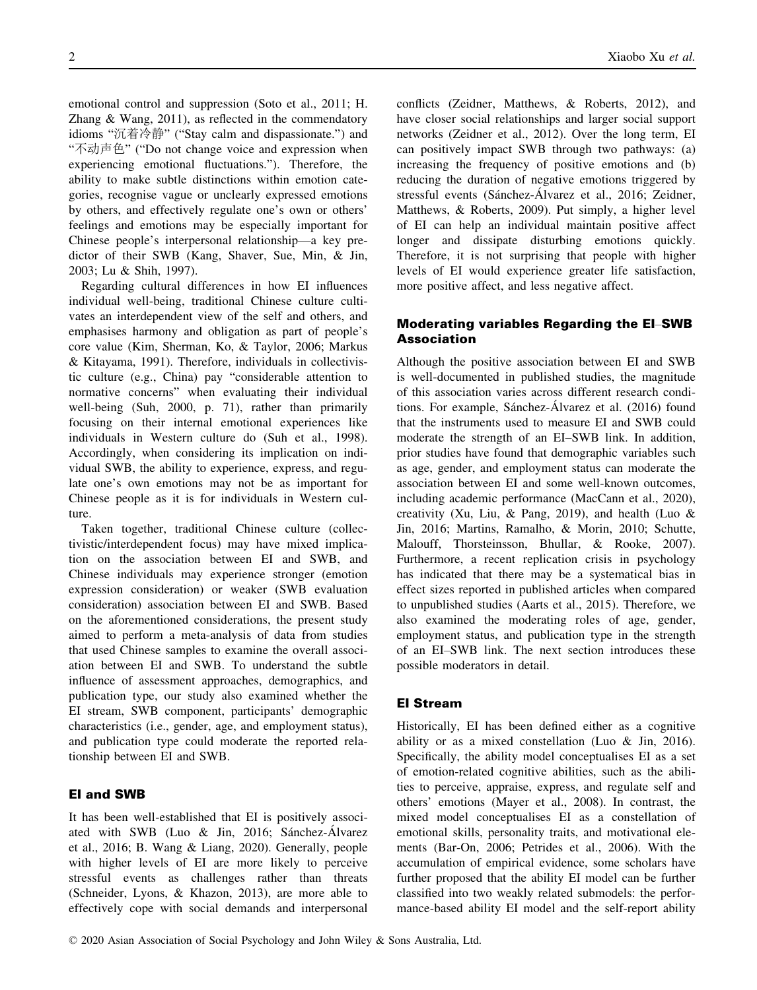emotional control and suppression (Soto et al., 2011; H. Zhang & Wang, 2011), as reflected in the commendatory idioms "沉着冷静" ("Stay calm and dispassionate.") and "不动声色" ("Do not change voice and expression when experiencing emotional fluctuations."). Therefore, the ability to make subtle distinctions within emotion categories, recognise vague or unclearly expressed emotions by others, and effectively regulate one's own or others' feelings and emotions may be especially important for Chinese people's interpersonal relationship—a key predictor of their SWB (Kang, Shaver, Sue, Min, & Jin, 2003; Lu & Shih, 1997).

Regarding cultural differences in how EI influences individual well-being, traditional Chinese culture cultivates an interdependent view of the self and others, and emphasises harmony and obligation as part of people's core value (Kim, Sherman, Ko, & Taylor, 2006; Markus & Kitayama, 1991). Therefore, individuals in collectivistic culture (e.g., China) pay "considerable attention to normative concerns" when evaluating their individual well-being (Suh, 2000, p. 71), rather than primarily focusing on their internal emotional experiences like individuals in Western culture do (Suh et al., 1998). Accordingly, when considering its implication on individual SWB, the ability to experience, express, and regulate one's own emotions may not be as important for Chinese people as it is for individuals in Western culture.

Taken together, traditional Chinese culture (collectivistic/interdependent focus) may have mixed implication on the association between EI and SWB, and Chinese individuals may experience stronger (emotion expression consideration) or weaker (SWB evaluation consideration) association between EI and SWB. Based on the aforementioned considerations, the present study aimed to perform a meta-analysis of data from studies that used Chinese samples to examine the overall association between EI and SWB. To understand the subtle influence of assessment approaches, demographics, and publication type, our study also examined whether the EI stream, SWB component, participants' demographic characteristics (i.e., gender, age, and employment status), and publication type could moderate the reported relationship between EI and SWB.

# EI and SWB

It has been well-established that EI is positively associated with SWB (Luo & Jin, 2016; Sánchez-Álvarez et al., 2016; B. Wang & Liang, 2020). Generally, people with higher levels of EI are more likely to perceive stressful events as challenges rather than threats (Schneider, Lyons, & Khazon, 2013), are more able to effectively cope with social demands and interpersonal conflicts (Zeidner, Matthews, & Roberts, 2012), and have closer social relationships and larger social support networks (Zeidner et al., 2012). Over the long term, EI can positively impact SWB through two pathways: (a) increasing the frequency of positive emotions and (b) reducing the duration of negative emotions triggered by stressful events (Sánchez-Álvarez et al., 2016; Zeidner, Matthews, & Roberts, 2009). Put simply, a higher level of EI can help an individual maintain positive affect longer and dissipate disturbing emotions quickly. Therefore, it is not surprising that people with higher levels of EI would experience greater life satisfaction, more positive affect, and less negative affect.

# Moderating variables Regarding the EI–SWB Association

Although the positive association between EI and SWB is well-documented in published studies, the magnitude of this association varies across different research conditions. For example, Sánchez-Álvarez et al. (2016) found that the instruments used to measure EI and SWB could moderate the strength of an EI–SWB link. In addition, prior studies have found that demographic variables such as age, gender, and employment status can moderate the association between EI and some well-known outcomes, including academic performance (MacCann et al., 2020), creativity (Xu, Liu, & Pang, 2019), and health (Luo & Jin, 2016; Martins, Ramalho, & Morin, 2010; Schutte, Malouff, Thorsteinsson, Bhullar, & Rooke, 2007). Furthermore, a recent replication crisis in psychology has indicated that there may be a systematical bias in effect sizes reported in published articles when compared to unpublished studies (Aarts et al., 2015). Therefore, we also examined the moderating roles of age, gender, employment status, and publication type in the strength of an EI–SWB link. The next section introduces these possible moderators in detail.

#### EI Stream

Historically, EI has been defined either as a cognitive ability or as a mixed constellation (Luo & Jin, 2016). Specifically, the ability model conceptualises EI as a set of emotion-related cognitive abilities, such as the abilities to perceive, appraise, express, and regulate self and others' emotions (Mayer et al., 2008). In contrast, the mixed model conceptualises EI as a constellation of emotional skills, personality traits, and motivational elements (Bar-On, 2006; Petrides et al., 2006). With the accumulation of empirical evidence, some scholars have further proposed that the ability EI model can be further classified into two weakly related submodels: the performance-based ability EI model and the self-report ability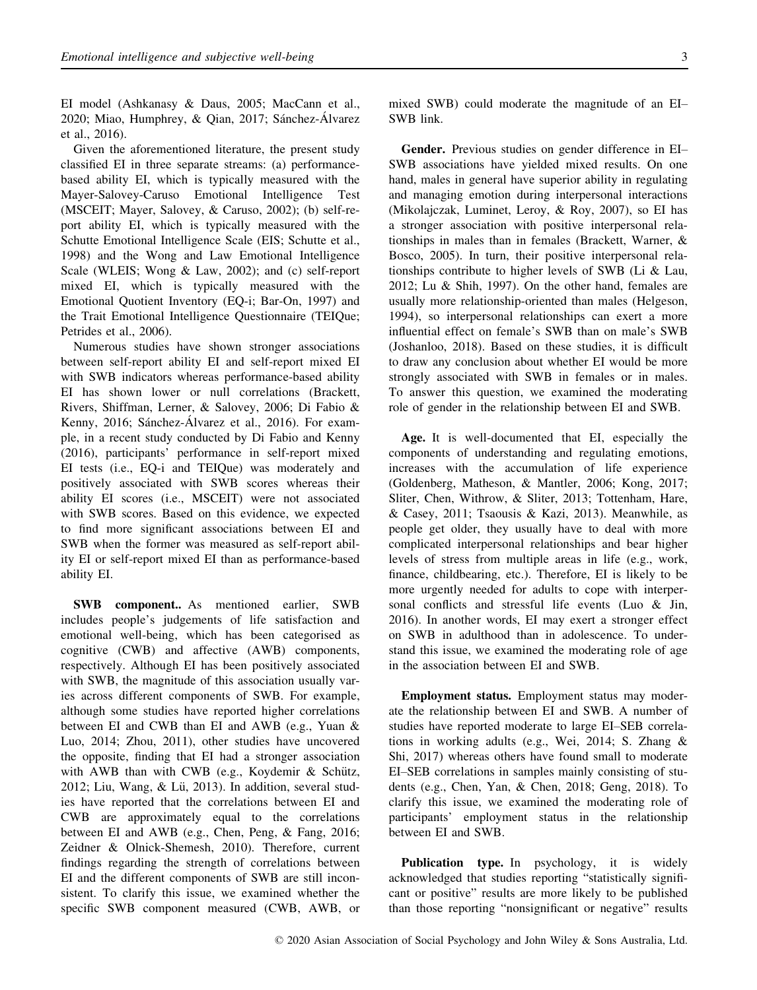EI model (Ashkanasy & Daus, 2005; MacCann et al., 2020; Miao, Humphrey, & Qian, 2017; Sánchez-Álvarez et al., 2016).

Given the aforementioned literature, the present study classified EI in three separate streams: (a) performancebased ability EI, which is typically measured with the Mayer-Salovey-Caruso Emotional Intelligence Test (MSCEIT; Mayer, Salovey, & Caruso, 2002); (b) self-report ability EI, which is typically measured with the Schutte Emotional Intelligence Scale (EIS; Schutte et al., 1998) and the Wong and Law Emotional Intelligence Scale (WLEIS; Wong & Law, 2002); and (c) self-report mixed EI, which is typically measured with the Emotional Quotient Inventory (EQ-i; Bar-On, 1997) and the Trait Emotional Intelligence Questionnaire (TEIQue; Petrides et al., 2006).

Numerous studies have shown stronger associations between self-report ability EI and self-report mixed EI with SWB indicators whereas performance-based ability EI has shown lower or null correlations (Brackett, Rivers, Shiffman, Lerner, & Salovey, 2006; Di Fabio & Kenny, 2016; Sánchez-Álvarez et al., 2016). For example, in a recent study conducted by Di Fabio and Kenny (2016), participants' performance in self-report mixed EI tests (i.e., EQ-i and TEIQue) was moderately and positively associated with SWB scores whereas their ability EI scores (i.e., MSCEIT) were not associated with SWB scores. Based on this evidence, we expected to find more significant associations between EI and SWB when the former was measured as self-report ability EI or self-report mixed EI than as performance-based ability EI.

SWB component.. As mentioned earlier, SWB includes people's judgements of life satisfaction and emotional well-being, which has been categorised as cognitive (CWB) and affective (AWB) components, respectively. Although EI has been positively associated with SWB, the magnitude of this association usually varies across different components of SWB. For example, although some studies have reported higher correlations between EI and CWB than EI and AWB (e.g., Yuan & Luo, 2014; Zhou, 2011), other studies have uncovered the opposite, finding that EI had a stronger association with AWB than with CWB (e.g., Koydemir & Schütz, 2012; Liu, Wang, & Lü, 2013). In addition, several studies have reported that the correlations between EI and CWB are approximately equal to the correlations between EI and AWB (e.g., Chen, Peng, & Fang, 2016; Zeidner & Olnick-Shemesh, 2010). Therefore, current findings regarding the strength of correlations between EI and the different components of SWB are still inconsistent. To clarify this issue, we examined whether the specific SWB component measured (CWB, AWB, or mixed SWB) could moderate the magnitude of an EI– SWB link.

Gender. Previous studies on gender difference in EI– SWB associations have yielded mixed results. On one hand, males in general have superior ability in regulating and managing emotion during interpersonal interactions (Mikolajczak, Luminet, Leroy, & Roy, 2007), so EI has a stronger association with positive interpersonal relationships in males than in females (Brackett, Warner, & Bosco, 2005). In turn, their positive interpersonal relationships contribute to higher levels of SWB (Li & Lau, 2012; Lu & Shih, 1997). On the other hand, females are usually more relationship-oriented than males (Helgeson, 1994), so interpersonal relationships can exert a more influential effect on female's SWB than on male's SWB (Joshanloo, 2018). Based on these studies, it is difficult to draw any conclusion about whether EI would be more strongly associated with SWB in females or in males. To answer this question, we examined the moderating role of gender in the relationship between EI and SWB.

Age. It is well-documented that EI, especially the components of understanding and regulating emotions, increases with the accumulation of life experience (Goldenberg, Matheson, & Mantler, 2006; Kong, 2017; Sliter, Chen, Withrow, & Sliter, 2013; Tottenham, Hare, & Casey, 2011; Tsaousis & Kazi, 2013). Meanwhile, as people get older, they usually have to deal with more complicated interpersonal relationships and bear higher levels of stress from multiple areas in life (e.g., work, finance, childbearing, etc.). Therefore, EI is likely to be more urgently needed for adults to cope with interpersonal conflicts and stressful life events (Luo & Jin, 2016). In another words, EI may exert a stronger effect on SWB in adulthood than in adolescence. To understand this issue, we examined the moderating role of age in the association between EI and SWB.

Employment status. Employment status may moderate the relationship between EI and SWB. A number of studies have reported moderate to large EI–SEB correlations in working adults (e.g., Wei, 2014; S. Zhang & Shi, 2017) whereas others have found small to moderate EI–SEB correlations in samples mainly consisting of students (e.g., Chen, Yan, & Chen, 2018; Geng, 2018). To clarify this issue, we examined the moderating role of participants' employment status in the relationship between EI and SWB.

Publication type. In psychology, it is widely acknowledged that studies reporting "statistically significant or positive" results are more likely to be published than those reporting "nonsignificant or negative" results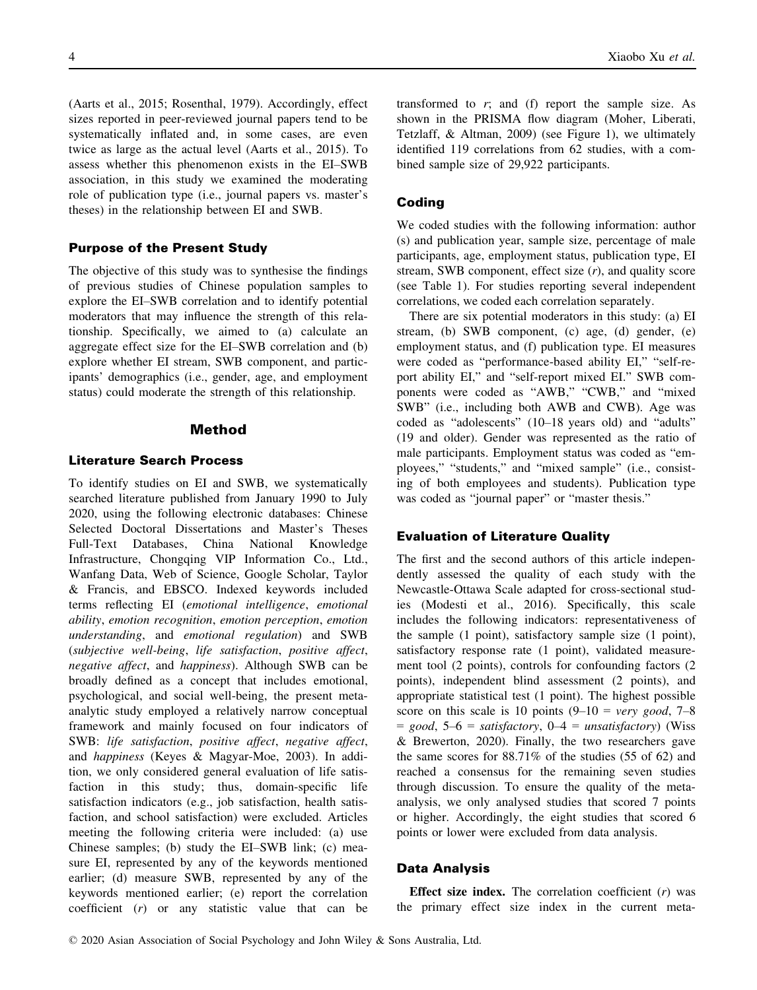(Aarts et al., 2015; Rosenthal, 1979). Accordingly, effect sizes reported in peer-reviewed journal papers tend to be systematically inflated and, in some cases, are even twice as large as the actual level (Aarts et al., 2015). To assess whether this phenomenon exists in the EI–SWB association, in this study we examined the moderating role of publication type (i.e., journal papers vs. master's theses) in the relationship between EI and SWB.

# Purpose of the Present Study

The objective of this study was to synthesise the findings of previous studies of Chinese population samples to explore the EI–SWB correlation and to identify potential moderators that may influence the strength of this relationship. Specifically, we aimed to (a) calculate an aggregate effect size for the EI–SWB correlation and (b) explore whether EI stream, SWB component, and participants' demographics (i.e., gender, age, and employment status) could moderate the strength of this relationship.

### Method

# Literature Search Process

To identify studies on EI and SWB, we systematically searched literature published from January 1990 to July 2020, using the following electronic databases: Chinese Selected Doctoral Dissertations and Master's Theses Full-Text Databases, China National Knowledge Infrastructure, Chongqing VIP Information Co., Ltd., Wanfang Data, Web of Science, Google Scholar, Taylor & Francis, and EBSCO. Indexed keywords included terms reflecting EI (emotional intelligence, emotional ability, emotion recognition, emotion perception, emotion understanding, and emotional regulation) and SWB (subjective well-being, life satisfaction, positive affect, negative affect, and happiness). Although SWB can be broadly defined as a concept that includes emotional, psychological, and social well-being, the present metaanalytic study employed a relatively narrow conceptual framework and mainly focused on four indicators of SWB: life satisfaction, positive affect, negative affect, and happiness (Keyes & Magyar-Moe, 2003). In addition, we only considered general evaluation of life satisfaction in this study; thus, domain-specific life satisfaction indicators (e.g., job satisfaction, health satisfaction, and school satisfaction) were excluded. Articles meeting the following criteria were included: (a) use Chinese samples; (b) study the EI–SWB link; (c) measure EI, represented by any of the keywords mentioned earlier; (d) measure SWB, represented by any of the keywords mentioned earlier; (e) report the correlation coefficient  $(r)$  or any statistic value that can be

transformed to  $r$ ; and (f) report the sample size. As shown in the PRISMA flow diagram (Moher, Liberati, Tetzlaff, & Altman, 2009) (see Figure 1), we ultimately identified 119 correlations from 62 studies, with a combined sample size of 29,922 participants.

#### Coding

We coded studies with the following information: author (s) and publication year, sample size, percentage of male participants, age, employment status, publication type, EI stream, SWB component, effect size  $(r)$ , and quality score (see Table 1). For studies reporting several independent correlations, we coded each correlation separately.

There are six potential moderators in this study: (a) EI stream, (b) SWB component, (c) age, (d) gender, (e) employment status, and (f) publication type. EI measures were coded as "performance-based ability EI," "self-report ability EI," and "self-report mixed EI." SWB components were coded as "AWB," "CWB," and "mixed SWB" (i.e., including both AWB and CWB). Age was coded as "adolescents" (10–18 years old) and "adults" (19 and older). Gender was represented as the ratio of male participants. Employment status was coded as "employees," "students," and "mixed sample" (i.e., consisting of both employees and students). Publication type was coded as "journal paper" or "master thesis."

#### Evaluation of Literature Quality

The first and the second authors of this article independently assessed the quality of each study with the Newcastle-Ottawa Scale adapted for cross-sectional studies (Modesti et al., 2016). Specifically, this scale includes the following indicators: representativeness of the sample (1 point), satisfactory sample size (1 point), satisfactory response rate (1 point), validated measurement tool (2 points), controls for confounding factors (2 points), independent blind assessment (2 points), and appropriate statistical test (1 point). The highest possible score on this scale is 10 points  $(9-10 = \text{very good}, 7-8)$  $= good, 5-6 = satisfactory, 0-4 = unsatisfactory$  (Wiss & Brewerton, 2020). Finally, the two researchers gave the same scores for 88.71% of the studies (55 of 62) and reached a consensus for the remaining seven studies through discussion. To ensure the quality of the metaanalysis, we only analysed studies that scored 7 points or higher. Accordingly, the eight studies that scored 6 points or lower were excluded from data analysis.

#### Data Analysis

Effect size index. The correlation coefficient  $(r)$  was the primary effect size index in the current meta-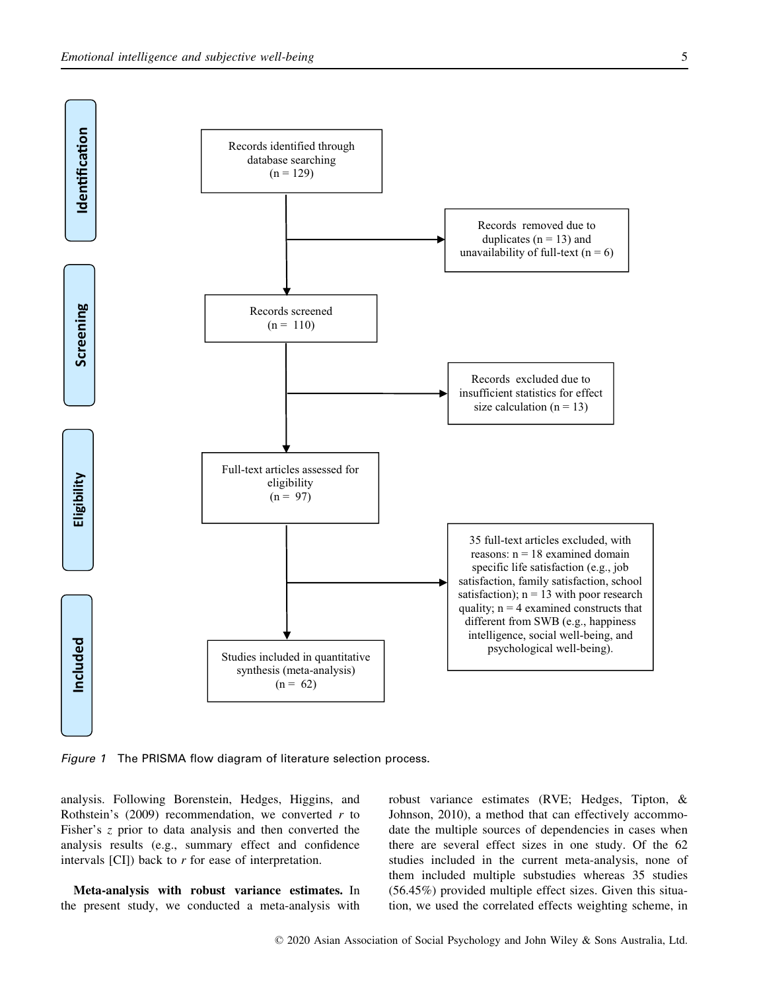

Figure 1 The PRISMA flow diagram of literature selection process.

analysis. Following Borenstein, Hedges, Higgins, and Rothstein's (2009) recommendation, we converted  $r$  to Fisher's z prior to data analysis and then converted the analysis results (e.g., summary effect and confidence intervals  $[CI]$ ) back to  $r$  for ease of interpretation.

Meta-analysis with robust variance estimates. In the present study, we conducted a meta-analysis with robust variance estimates (RVE; Hedges, Tipton, & Johnson, 2010), a method that can effectively accommodate the multiple sources of dependencies in cases when there are several effect sizes in one study. Of the 62 studies included in the current meta-analysis, none of them included multiple substudies whereas 35 studies (56.45%) provided multiple effect sizes. Given this situation, we used the correlated effects weighting scheme, in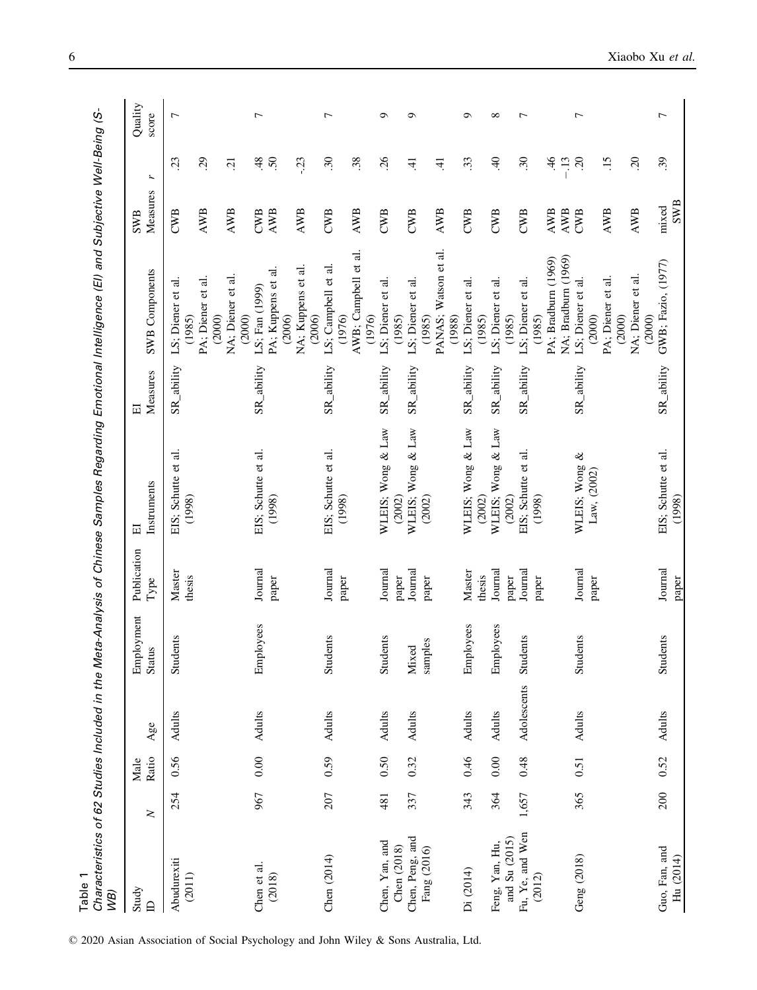|                                    | I<br>Ç<br>I                  |                                                                                          |
|------------------------------------|------------------------------|------------------------------------------------------------------------------------------|
|                                    | ١<br>ı<br>!<br>.             |                                                                                          |
|                                    | יישט שווי<br>Í               |                                                                                          |
|                                    | l<br>ļ                       |                                                                                          |
|                                    | l<br>ן<br>ג                  |                                                                                          |
|                                    | ١<br>ı                       |                                                                                          |
|                                    | ļ                            |                                                                                          |
|                                    | Í                            |                                                                                          |
|                                    | 10.40<br>e Me                |                                                                                          |
|                                    | í<br>:                       |                                                                                          |
|                                    | )<br>)                       |                                                                                          |
|                                    | بر اندی وره ده: ۱۳<br>j<br>Ì |                                                                                          |
|                                    | i                            |                                                                                          |
| $\overline{\phantom{a}}$<br>١<br>l | :<br>גוג<br>Ò                | $\begin{array}{c} \begin{array}{c} \begin{array}{c} \end{array} \end{array} \end{array}$ |

|                                |  | Characteristics of 62 Studies Included in the |                      |                     | Meta-Analysis of Chinese Samples Regarding Emotional Intelligence (EI) and Subjective Well-Being (S |               |                                                                          |                        |                       |                  |
|--------------------------------|--|-----------------------------------------------|----------------------|---------------------|-----------------------------------------------------------------------------------------------------|---------------|--------------------------------------------------------------------------|------------------------|-----------------------|------------------|
| Age<br>Ratio<br>Male<br>$\geq$ |  |                                               | Employment<br>Status | Publication<br>Type | Instruments<br>$\overline{H}$                                                                       | Measures<br>国 | <b>SWB</b> Components                                                    | Measures<br><b>SWB</b> | r                     | Quality<br>score |
| Adults<br>0.56<br>254          |  |                                               | Students             | Master<br>thesis    | EIS; Schutte et al.<br>(1998)                                                                       | SR_ability    | ನ<br>LS; Diener et<br>(1985)                                             | <b>CWB</b>             | 23                    | $\overline{ }$   |
|                                |  |                                               |                      |                     |                                                                                                     |               | et al.<br>PA; Diener<br>(2000)                                           | <b>AWB</b>             | 29                    |                  |
|                                |  |                                               |                      |                     |                                                                                                     |               | NA; Diener et al<br>(2000)                                               | <b>AWB</b>             | $\overline{c}$        |                  |
| Adults<br>0.00<br>967          |  |                                               | Employees            | Journal             | EIS; Schutte et al.                                                                                 | SR_ability    | LS; Fan (1999)                                                           | <b>CWB</b>             | 48                    | $\overline{ }$   |
|                                |  |                                               |                      | paper               | (1998)                                                                                              |               | ನ<br>PA; Kuppens et<br>(2006)                                            | <b>AWB</b>             | $\tilde{S}$           |                  |
|                                |  |                                               |                      |                     |                                                                                                     |               | NA; Kuppens et al.<br>(2006)                                             | <b>AWB</b>             | $-23$                 |                  |
| Adults<br>0.59<br>207          |  |                                               | Students             | Journal             | EIS: Schutte et al.<br>(1998)                                                                       | SR_ability    | ನ<br>LS; Campbell et<br>(1976)                                           | <b>CWB</b>             | $\ddot{.}30$          | Γ                |
|                                |  |                                               |                      | paper               |                                                                                                     |               | AWB; Campbell et al.                                                     | <b>AWB</b>             | 38.                   |                  |
| Adults<br>0.50<br>481          |  |                                               | Students             | Journal             | WLEIS: Wong & Law                                                                                   | $SR_$ ability | et al.<br>LS; Diener<br>(1976)                                           | <b>CWB</b>             | 26                    | ç                |
| Adults<br>0.32<br>337          |  |                                               | Mixed                | Journal<br>paper    | WLEIS; Wong & Law<br>(2002)                                                                         | SR_ability    | ಸ<br>$\sigma$<br>LS; Diener<br>(1985)                                    | <b>CWB</b>             | $\vec{r}$             | ٥                |
|                                |  |                                               | samples              | paper               | (2002)                                                                                              |               | (1985)                                                                   |                        |                       |                  |
|                                |  |                                               |                      |                     |                                                                                                     |               | PANAS; Watson et al.<br>(1988)                                           | <b>AWB</b>             | न्                    |                  |
| Adults<br>0.46<br>343          |  |                                               | Employees            | Master<br>thesis    | WLEIS; Wong & Law<br>(2002)                                                                         | SR_ability    | LS; Diener et al.<br>(1985)                                              | <b>CWB</b>             | 33                    | ç                |
| <b>Adults</b><br>0.00<br>364   |  |                                               | Employees            | Journal             | $\&$ Law<br>WLEIS; Wong<br>(2002)                                                                   | SR_ability    | et al.<br>LS; Diener<br>(1985)                                           | <b>CWB</b>             | $\overline{4}$        | $\infty$         |
| Adolescents<br>0.48<br>1,657   |  |                                               | Students             | Journal<br>paper    | EIS; Schutte et al.                                                                                 | SR_ability    | ನ<br>$\sigma$<br>LS; Diener                                              | <b>CWB</b>             | $\ddot{30}$           | $\overline{ }$   |
|                                |  |                                               |                      | paper               | (1998)                                                                                              |               | (1985)                                                                   |                        |                       |                  |
|                                |  |                                               |                      |                     |                                                                                                     |               | PA; Bradburn (1969)                                                      | <b>AWB</b>             | $\overline{46}$       |                  |
| Adults<br>0.51<br>365          |  |                                               | Students             | Journal             | WLEIS; Wong &                                                                                       | SR_ability    | NA; Bradburn (1969)<br>$\overline{\mathtt{a}}$<br>$\sigma$<br>LS; Diener | <b>AWB</b><br>CWB      | 20<br>$\overline{13}$ | 1                |
|                                |  |                                               |                      | paper               | Law, (2002)                                                                                         |               | (2000)                                                                   |                        |                       |                  |
|                                |  |                                               |                      |                     |                                                                                                     |               | PA; Diener et al.<br>(2000)                                              | <b>AWB</b>             | $\overline{15}$       |                  |
|                                |  |                                               |                      |                     |                                                                                                     |               | NA; Diener et al.<br>(2000)                                              | <b>AWB</b>             | $\overline{c}$        |                  |
| Adults<br>0.52<br>200          |  |                                               | Students             | Journal<br>paper    | EIS; Schutte et al.<br>(1998)                                                                       | SR_ability    | GWB; Fazio, (1977)                                                       | SWB<br>mixed           | 39                    | $\overline{ }$   |
|                                |  |                                               |                      |                     |                                                                                                     |               |                                                                          |                        |                       |                  |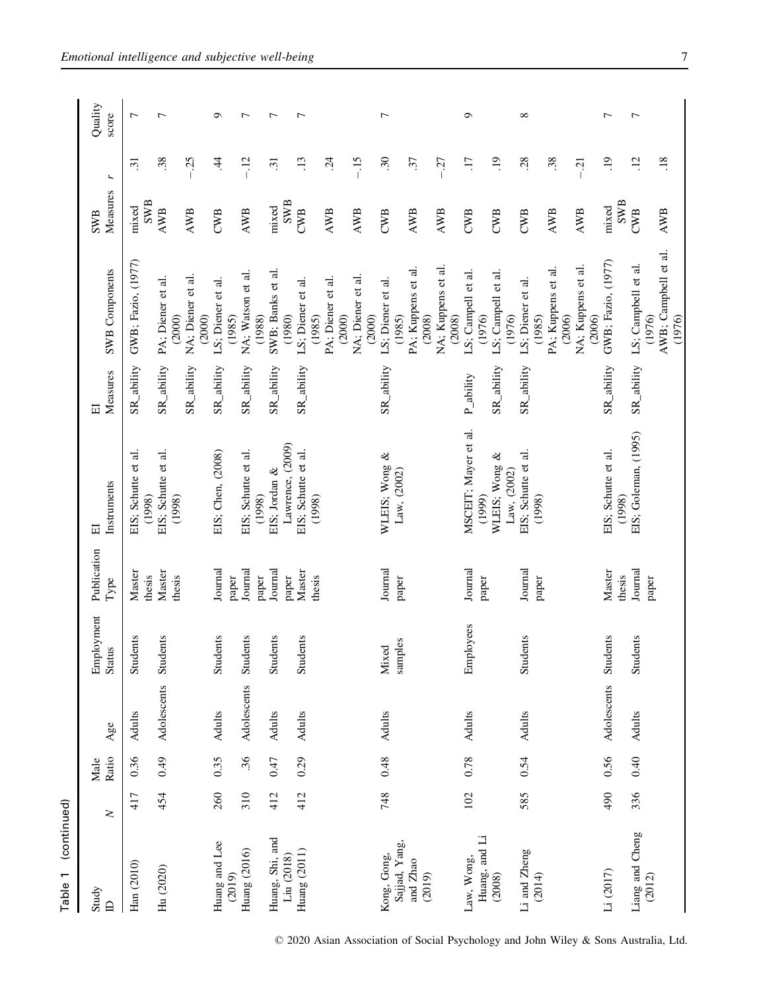| (continued)<br>$\overline{\phantom{0}}$<br>Table |        |               |               |                      |                     |                                |               |                                |                          |                |                  |
|--------------------------------------------------|--------|---------------|---------------|----------------------|---------------------|--------------------------------|---------------|--------------------------------|--------------------------|----------------|------------------|
| Study<br>$\Box$                                  | $\geq$ | Ratio<br>Male | Age           | Employment<br>Status | Publication<br>Type | Instruments<br>冚               | Measures<br>冚 | <b>SWB</b> Components          | Measures<br><b>SWB</b>   | r              | Quality<br>score |
| Han (2010)                                       | 417    | 0.36          | Adults        | Students             | Master<br>thesis    | EIS; Schutte et al.<br>(1998)  | SR_ability    | GWB; Fazio, (1977)             | <b>SWB</b><br>mixed      | $\ddot{3}$     | $\overline{ }$   |
| Hu (2020)                                        | 454    | 0.49          | Adolescents   | Students             | Master              | EIS; Schutte et al.            | SR_ability    | PA; Diener et al.<br>(2000)    | <b>AWB</b>               | 38.            | $\overline{ }$   |
|                                                  |        |               |               |                      | thesis              | (1998)                         | SR_ability    | NA; Diener et al<br>(2000)     | <b>AWB</b>               | 25             |                  |
| Huang and Lee<br>(2019)                          | 260    | 0.35          | Adults        | Students             | Journal<br>paper    | EIS; Chen, (2008)              | SR_ability    | LS; Diener et al.<br>(1985)    | <b>CWB</b>               | 4              | $\sigma$         |
| Huang (2016)                                     | 310    | 36            | Adolescents   | Students             | Journal             | EIS; Schutte et al.            | SR_ability    | NA; Watson et al.              | <b>AWB</b>               | $-12$          | $\overline{ }$   |
| Huang, Shi, and                                  | 412    | 0.47          | <b>Adults</b> | Students             | Journal<br>paper    | EIS; Jordan &<br>(1998)        | SR_ability    | SWB; Banks et al<br>(1988)     | mixed                    | $\ddot{3}$     | $\overline{ }$   |
| Liu (2018)                                       | 412    | 0.29          |               | Students             | paper               | Lawrence, (2009)               |               | (1980)                         | <b>SWB</b><br><b>CWB</b> | $\ddot{13}$    | $\overline{ }$   |
| Huang (2011)                                     |        |               | Adults        |                      | Master<br>thesis    | EIS; Schutte et al.<br>(1998)  | $SR_$ ability | LS; Diener et al.<br>(1985)    |                          |                |                  |
|                                                  |        |               |               |                      |                     |                                |               | PA; Diener et al.<br>(2000)    | <b>AWB</b>               | $\ddot{5}$     |                  |
|                                                  |        |               |               |                      |                     |                                |               | NA; Diener et al.<br>(2000)    | <b>AWB</b>               | $-15$          |                  |
| Kong, Gong,                                      | 748    | 0.48          | Adults        | Mixed                | Journal             | WLEIS; Wong &                  | $SR_$ ability | LS; Diener et al.              | <b>CWB</b>               | 30             | $\overline{ }$   |
| Sajjad, Yang,                                    |        |               |               | samples              | paper               | Law, (2002)                    |               | (1985)                         |                          |                |                  |
| and Zhao<br>(2019)                               |        |               |               |                      |                     |                                |               | PA; Kuppens et al.<br>(2008)   | <b>AWB</b>               | 37             |                  |
|                                                  |        |               |               |                      |                     |                                |               | NA; Kuppens et al.             | <b>AWB</b>               | .27            |                  |
|                                                  |        |               |               |                      |                     |                                |               | (2008)                         |                          |                |                  |
| Huang, and Li<br>Law, Wong,                      | 102    | 0.78          | Adults        | Employees            | Journal<br>paper    | MSCEIT; Mayer et al.<br>(1999) | $P_{ability}$ | LS; Campell et al.<br>(1976)   | <b>CWB</b>               | $\ddot{1}$     | $\sigma$         |
| (2008)                                           |        |               |               |                      |                     | ∛<br>WLEIS; Wong               | SR_ability    | LS; Campell et al.             | <b>CWB</b>               | $\overline{0}$ |                  |
|                                                  |        |               |               |                      |                     | Law, (2002)                    |               | (1976)                         |                          |                |                  |
| Li and Zheng<br>(2014)                           | 585    | 0.54          | Adults        | Students             | Journal<br>paper    | EIS; Schutte et al.<br>(1998)  | $SR_$ ability | LS; Diener et al.<br>(1985)    | <b>CWB</b>               | 28             | $\infty$         |
|                                                  |        |               |               |                      |                     |                                |               | PA; Kuppens et al              | <b>AWB</b>               | 38             |                  |
|                                                  |        |               |               |                      |                     |                                |               | (2006)                         |                          |                |                  |
|                                                  |        |               |               |                      |                     |                                |               | NA; Kuppens et al.<br>(2006)   | <b>AWB</b>               | $\ddot{5}$     |                  |
| Li (2017)                                        | 490    | 0.56          | Adolescents   | Students             | Master              | EIS; Schutte et al.            | SR_ability    | GWB; Fazio, (1977)             | mixed                    | $\ddot{0}$     | Γ                |
|                                                  |        |               |               |                      | thesis              | (1998)                         |               |                                | SWB                      |                |                  |
| Liang and Cheng<br>(2012)                        | 336    | 0.40          | Adults        | Students             | Journal<br>paper    | EIS; Goleman, (1995)           | SR_ability    | LS; Campbell et al.<br>(1976)  | <b>CWB</b>               | $\ddot{5}$     | $\overline{ }$   |
|                                                  |        |               |               |                      |                     |                                |               | AWB; Campbell et al.<br>(1976) | <b>AWB</b>               | .18            |                  |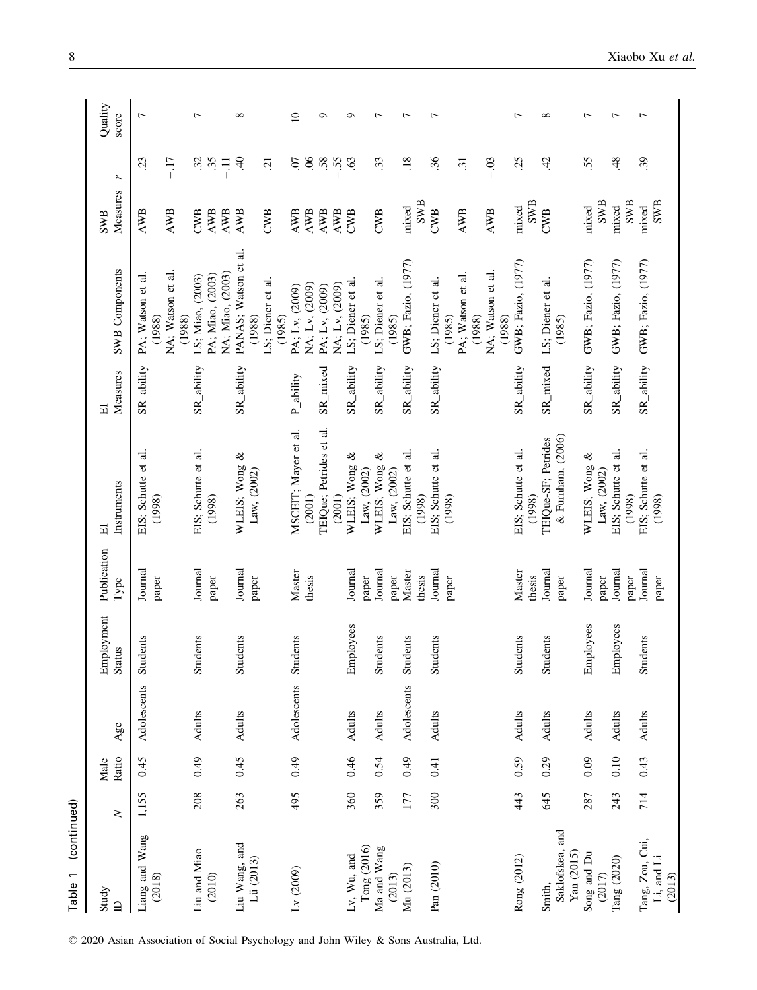| (continued)<br>Table 1                       |        |               |               |                      |                            |                                                                     |                           |                                                                                |                                                      |                                               |                      |
|----------------------------------------------|--------|---------------|---------------|----------------------|----------------------------|---------------------------------------------------------------------|---------------------------|--------------------------------------------------------------------------------|------------------------------------------------------|-----------------------------------------------|----------------------|
| Study<br>$\mathbf{r}$                        | $\geq$ | Ratio<br>Male | Age           | Employment<br>Status | Publication<br>Type        | Instruments<br>冚                                                    | Measures<br>冚             | <b>SWB Components</b>                                                          | Measures<br><b>SWB</b>                               | r                                             | Quality<br>score     |
| Liang and Wang<br>(2018)                     | 1,155  | 0.45          | Adolescents   | Students             | Journal<br>paper           | EIS; Schutte et al.<br>(1998)                                       | SR_ability                | NA; Watson et al.<br>PA; Watson et al.<br>(1988)<br>(1988)                     | <b>AWB</b><br><b>AWB</b>                             | 23<br>$-17$                                   | $\overline{ }$       |
| Liu and Miao<br>(2010)                       | 208    | 0.49          | Adults        | Students             | Journal<br>paper           | EIS; Schutte et al.<br>(1998)                                       | SR_ability                | NA; Miao, (2003)<br>PA; Miao, (2003)<br>LS; Miao, (2003)                       | <b>AWB</b><br><b>AWB</b><br><b>CWB</b>               | 35<br>32<br>$\overline{\Xi}$                  | 7                    |
| Liu Wang, and<br>Lü (2013)                   | 263    | 0.45          | Adults        | Students             | Journal<br>paper           | WLEIS; Wong &<br>Law, (2002)                                        | $SR_$ ability             | PANAS; Watson et al.<br>LS; Diener et al.<br>(1988)<br>(1985)                  | <b>AWB</b><br><b>CWB</b>                             | $\ddot{ }$<br>$\overline{c}$                  | $\infty$             |
| Lv(2009)                                     | 495    | 0.49          | Adolescents   | Students             | Master<br>thesis           | TEIQue; Petrides et al.<br>MSCEIT; Mayer et al.<br>(2001)<br>(2001) | SR_mixed<br>$P_{ability}$ | NA; Lv, (2009)<br>NA; Lv, (2009)<br>PA; Lv, (2009)<br>PA; Lv, (2009)           | <b>AWB</b><br><b>AWB</b><br><b>AWB</b><br><b>AWB</b> | $\widetilde{\mathcal{S}}$<br>.58<br>55<br>CO. | $\overline{10}$<br>ç |
| Tong (2016)<br>Lv, $Wu$ , and                | 360    | 0.46          | <b>Adults</b> | Employees            | Journal<br>paper           | ళ<br>WLEIS; Wong<br>Law, (2002)                                     | SR_ability                | LS; Diener et al.<br>(1985)                                                    | <b>CWB</b>                                           | 63                                            | ç                    |
| Ma and Wang<br>(2013)                        | 359    | 0.54          | <b>Adults</b> | Students             | Journal<br>paper           | ళ<br>WLEIS; Wong<br>Law, (2002)                                     | $SR_$ ability             | LS; Diener et al.<br>(1985)                                                    | <b>CWB</b>                                           | 33                                            | $\overline{ }$       |
| Mu (2013)                                    | 177    | 64.0          | Adolescents   | Students             | Master<br>thesis           | EIS; Schutte et al.<br>(1998)                                       | SR_ability                | GWB; Fazio, (1977)                                                             | SWB<br>mixed                                         | $\overline{.18}$                              | $\overline{ }$       |
| Pan (2010)                                   | 300    | 0.41          | Adults        | Students             | Journal<br>paper           | EIS; Schutte et al.<br>(1998)                                       | $SR_$ ability             | NA; Watson et al.<br>PA; Watson et al.<br>LS; Diener et al<br>(1985)<br>(1988) | <b>CWB</b><br><b>AWB</b><br><b>AWB</b>               | 36<br>03<br>$\ddot{3}$                        | 7                    |
| Rong (2012)                                  | 443    | 0.59          | Adults        | Students             | Master                     | EIS; Schutte et al.                                                 | SR_ability                | GWB; Fazio, (1977)<br>(1988)                                                   | <b>SWB</b><br>mixed                                  | 25                                            | 7                    |
| Saklofskea, and<br>Yan(2015)<br>Smith,       | 645    | 0.29          | <b>Adults</b> | Students             | Journal<br>thesis<br>paper | & Furnham, (2006)<br>TEIQue-SF; Petrides<br>(1998)                  | SR_mixed                  | LS; Diener et al.<br>(1985)                                                    | CWB                                                  | 42                                            | $^{\circ}$           |
| Song and Du<br>(2017)                        | 287    | 0.09          | <b>Adults</b> | Employees            | Journal<br>paper           | ళ<br>WLEIS; Wong<br>Law, (2002)                                     | SR_ability                | GWB; Fazio, (1977)                                                             | <b>SWB</b><br>mixed                                  | 55.                                           | $\overline{ }$       |
| Tang (2020)                                  | 243    | 0.10          | Adults        | Employees            | Journal<br>paper           | ನ<br>EIS; Schutte et<br>(1998)                                      | SR_ability                | GWB; Fazio, (1977)                                                             | <b>SWB</b><br>mixed                                  | $\frac{48}{5}$                                | $\overline{ }$       |
| Tang, Zou, Cui,<br>$Li$ , and $Li$<br>(2013) | 714    | 0.43          | Adults        | Students             | Journal<br>paper           | EIS; Schutte et al.<br>(1998)                                       | $SR_ability$              | GWB; Fazio, (1977)                                                             | SWB<br>mixed                                         | $\ddot{3}$                                    | $\overline{ }$       |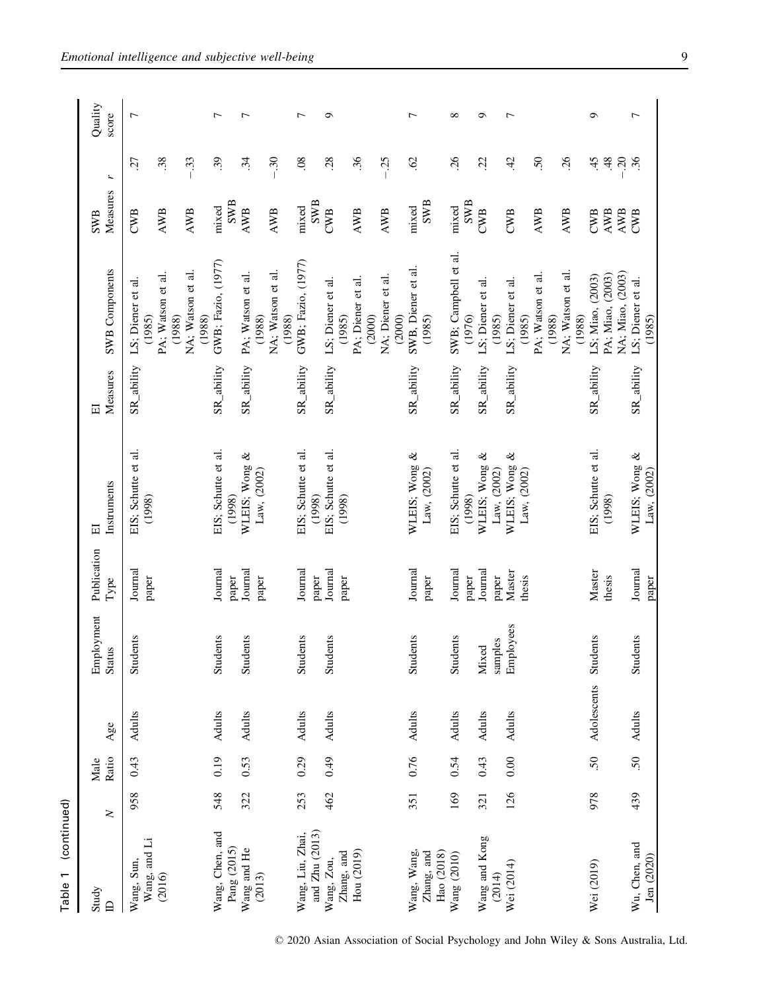| (continued)<br>Table 1                  |        |               |             |                             |                           |                                           |                          |                                                                                |                                        |                      |                  |
|-----------------------------------------|--------|---------------|-------------|-----------------------------|---------------------------|-------------------------------------------|--------------------------|--------------------------------------------------------------------------------|----------------------------------------|----------------------|------------------|
| Study<br>$\triangle$                    | $\geq$ | Ratio<br>Male | Age         | Employment<br><b>Status</b> | Publication<br>Type       | Instruments<br>囯                          | Measures<br>$\mathbf{H}$ | <b>SWB</b> Components                                                          | r<br>Measures<br><b>SWB</b>            |                      | Quality<br>score |
| Wang, and Li<br>Wang, Sun,<br>(2016)    | 958    | 0.43          | Adults      | Students                    | Journal<br>paper          | EIS; Schutte et al.<br>(1998)             | SR_ability               | NA; Watson et al.<br>PA; Watson et al.<br>LS; Diener et al<br>(1988)<br>(1985) | <b>AWB</b><br><b>AWB</b><br><b>CWB</b> | 38.<br>27<br>33      | $\overline{ }$   |
| Wang, Chen, and                         | 548    | 0.19          | Adults      | Students                    | Journal                   | EIS; Schutte et al.                       | SR_ability               | GWB; Fazio, (1977)<br>(1988)                                                   | mixed                                  | 39                   | 7                |
| Pang (2015)<br>Wang and He<br>(2013)    | 322    | 0.53          | Adults      | Students                    | Journal<br>paper<br>paper | ళ<br>WLEIS; Wong<br>Law, (2002)<br>(1998) | SR_ability               | PA; Watson et al.<br>(1988)                                                    | <b>SWB</b><br><b>AWB</b>               | $\ddot{34}$          | $\overline{ }$   |
|                                         |        |               |             |                             |                           |                                           |                          | NA; Watson et al.<br>(1988)                                                    | <b>AWB</b>                             | $\ddot{\mathcal{E}}$ |                  |
| and Zhu (2013)<br>Wang, Liu, Zhai,      | 253    | 0.29          | Adults      | Students                    | Journal<br>paper          | EIS; Schutte et al.<br>(1998)             | $SR_$ ability            | GWB; Fazio, (1977)                                                             | <b>SWB</b><br>mixed                    | .08                  | $\overline{ }$   |
| Zhang, and<br>Wang, Zou,                | 462    | 0.49          | Adults      | Students                    | Journal<br>paper          | EIS; Schutte et al<br>(1998)              | SR_ability               | LS; Diener et al<br>(1985)                                                     | <b>CWB</b>                             | 28                   | $\sigma$         |
| Hou (2019)                              |        |               |             |                             |                           |                                           |                          | PA; Diener et al.<br>(2000)                                                    | <b>AWB</b>                             | 36                   |                  |
|                                         |        |               |             |                             |                           |                                           |                          | NA; Diener et al.<br>(2000)                                                    | <b>AWB</b>                             | $-25$                |                  |
| Wang, Wang,<br>Hao (2018)<br>Zhang, and | 351    | 0.76          | Adults      | Students                    | Journal<br>paper          | WLEIS; Wong &<br>Law, (2002)              | SR_ability               | SWB, Diener et al.<br>(1985)                                                   | SWB<br>mixed                           | .62                  | $\overline{ }$   |
| Wang (2010)                             | 169    | 0.54          | Adults      | Students                    | Journal<br>paper          | EIS; Schutte et al.<br>(1998)             | SR_ability               | SWB; Campbell et al.<br>(1976)                                                 | <b>SWB</b><br>mixed                    | 26                   | ∞                |
| Wang and Kong<br>(2014)                 | 321    | 0.43          | Adults      | samples<br>Mixed            | Journal<br>paper          | ళ<br>WLEIS; Wong<br>Law, (2002)           | SR_ability               | LS; Diener et al<br>(1985)                                                     | CWB                                    | $\ddot{c}$           | $\circ$          |
| Wei (2014)                              | 126    | 0.00          | Adults      | Employees                   | Master<br>thesis          | ళ<br>WLEIS; Wong<br>Law, (2002)           | SR_ability               | LS; Diener et al.<br>(1985)                                                    | CWB                                    | 42                   | 7                |
|                                         |        |               |             |                             |                           |                                           |                          | NA; Watson et al.<br>PA; Watson et al.<br>(1988)                               | <b>AWB</b><br><b>AWB</b>               | 50<br>26             |                  |
| Wei (2019)                              | 978    | 50            | Adolescents | Students                    | Master                    | EIS; Schutte et al.                       | $SR_$ ability            | LS; Miao, (2003)<br>(1988)                                                     | CWB                                    | 45                   | Ó                |
|                                         |        |               |             |                             | thesis                    | (1998)                                    |                          | NA; Miao, (2003)<br>PA; Miao, (2003)                                           | <b>AWB</b><br><b>AWB</b>               | 48<br>$\overline{c}$ |                  |
| Wu, Chen, and<br>Jen (2020)             | 439    | 50            | Adults      | Students                    | Journal<br>paper          | WLEIS; Wong &<br>Law, (2002)              | SR_ability               | LS; Diener et al.<br>(1985)                                                    | <b>CWB</b>                             | 36                   | 7                |

© 2020 Asian Association of Social Psychology and John Wiley & Sons Australia, Ltd.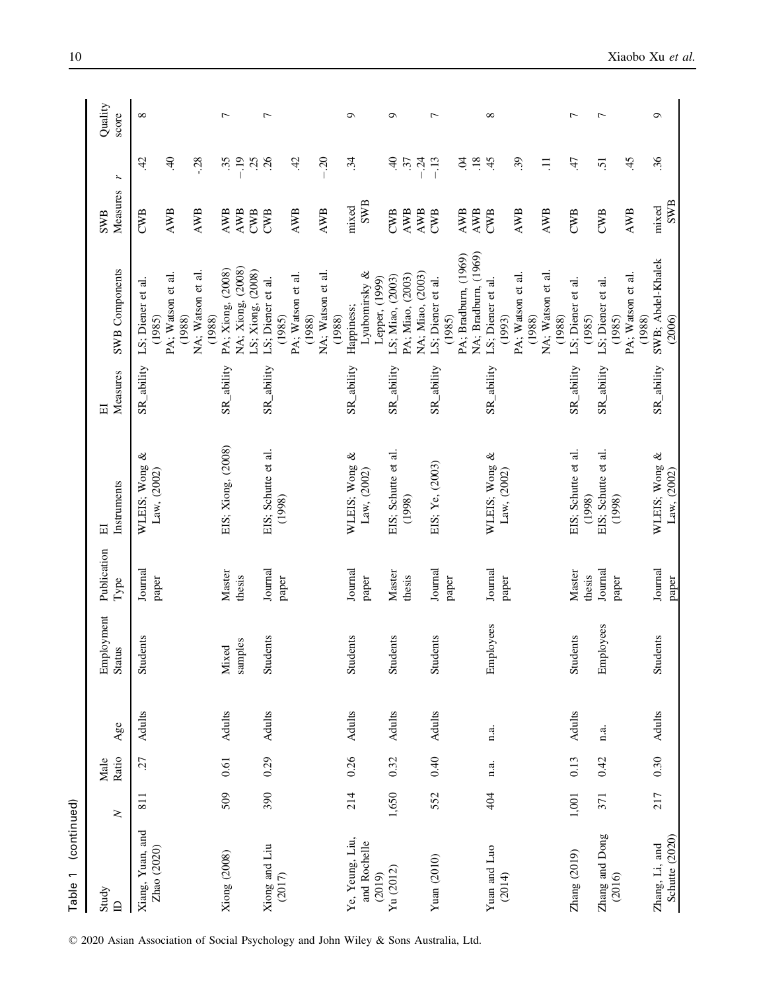| (continued)<br>Table 1           |        |               |               |                      |                     |                                 |                   |                                                                                                         |                                                      |                                      |                  |
|----------------------------------|--------|---------------|---------------|----------------------|---------------------|---------------------------------|-------------------|---------------------------------------------------------------------------------------------------------|------------------------------------------------------|--------------------------------------|------------------|
| Study<br>$\mathbf{r}$            | $\geq$ | Ratio<br>Male | Age           | Employment<br>Status | Publication<br>Type | Instruments<br>$\Xi$            | Measures<br>$\Xi$ | <b>SWB</b> Components                                                                                   | Measures<br><b>SWB</b>                               | r                                    | Quality<br>score |
| Xiang, Yuan, and<br>Zhao (2020)  | 811    | 27            | Adults        | Students             | Journal<br>paper    | ∛<br>WLEIS; Wong<br>Law, (2002) | SR_ability        | NA; Watson et al.<br>PA; Watson et al.<br>LS; Diener et al<br>(1988)<br>(1985)                          | <b>AWB</b><br><b>AWB</b><br><b>CWB</b>               | $\frac{1}{2}$<br>42<br>$-28$         | $\infty$         |
| Xiong (2008)                     | 509    | 0.61          | Adults        | samples<br>Mixed     | Master<br>thesis    | EIS; Xiong, (2008)              | SR_ability        | NA; Xiong, (2008)<br>PA; Xiong, (2008)<br>(1988)                                                        | <b>AWB</b><br><b>AWB</b><br><b>CWB</b>               | $\ddot{0}$<br>$\ddot{c}$<br>35       | 7                |
| Xiong and Liu<br>(2017)          | 390    | 0.29          | Adults        | Students             | Journal<br>paper    | EIS; Schutte et al.<br>(1998)   | SR_ability        | LS; Xiong, (2008)<br>NA; Watson et al.<br>PA; Watson et al.<br>LS; Diener et al.<br>(1988)<br>(1985)    | <b>AWB</b><br><b>AWB</b><br><b>CWB</b>               | 26<br>42<br>$\overline{c}$           | $\overline{ }$   |
| Ye, Yeung, Liu,<br>and Rochelle  | 214    | 0.26          | <b>Adults</b> | Students             | Journal<br>paper    | ళ<br>WLEIS; Wong<br>Law, (2002) | SR_ability        | Lyubomirsky &<br>Happiness;<br>(1988)                                                                   | <b>SWB</b><br>mixed                                  | $\ddot{34}$                          | ం                |
| Yu(2012)<br>(2019)               | 1,650  | 0.32          | Adults        | Students             | Master<br>thesis    | EIS; Schutte et al.<br>(1998)   | SR_ability        | PA; Miao, (2003)<br>LS; Miao, (2003)<br>Lepper, (1999)                                                  | AWB<br>CWB                                           | $\overline{4}$<br>$\ddot{3}$         | $\circ$          |
| Yuan (2010)                      | 552    | 0.40          | Adults        | Students             | Journal<br>paper    | EIS; Ye, (2003)                 | SR_ability        | PA; Bradburn, (1969)<br>NA; Miao, (2003)<br>LS; Diener et al.<br>(1985)                                 | AWB<br><b>AWB</b><br><b>CWB</b>                      | $\dot{5}$<br>$-24$<br>$-13$          | $\overline{ }$   |
| Yuan and Luo<br>(2014)           | 404    | n.a.          | n.a.          | Employees            | Journal<br>paper    | WLEIS; Wong &<br>Law, (2002)    | SR_ability        | NA; Bradburn, (1969)<br>NA; Watson et al.<br>PA; Watson et al.<br>LS; Diener et al.<br>(1993)<br>(1988) | <b>AWB</b><br><b>AWB</b><br><b>AWB</b><br><b>CWB</b> | $\ddot{.}18$<br>45<br>39<br>$\equiv$ | $\infty$         |
| Zhang (2019)                     | 1,001  | 0.13          | Adults        | Students             | Master<br>thesis    | EIS; Schutte et al.<br>(1998)   | SR_ability        | LS; Diener et al.<br>(1985)<br>(1988)                                                                   | <b>CWB</b>                                           | 47                                   | $\overline{ }$   |
| Zhang and Dong<br>(2016)         | 371    | 0.42          | n.a.          | Employees            | Journal<br>paper    | EIS; Schutte et al.<br>(1998)   | SR_ability        | PA; Watson et al.<br>LS; Diener et al.<br>(1988)<br>(1985)                                              | <b>AWB</b><br>CWB                                    | 45<br>$\overline{5}$                 | $\overline{ }$   |
| Schutte (2020)<br>Zhang, Li, and | 217    | 0.30          | Adults        | Students             | Journal<br>paper    | WLEIS; Wong &<br>Law, (2002)    | SR_ability        | SWB; Abdel-Khalek<br>(2006)                                                                             | SWB<br>mixed                                         | 36                                   | ç                |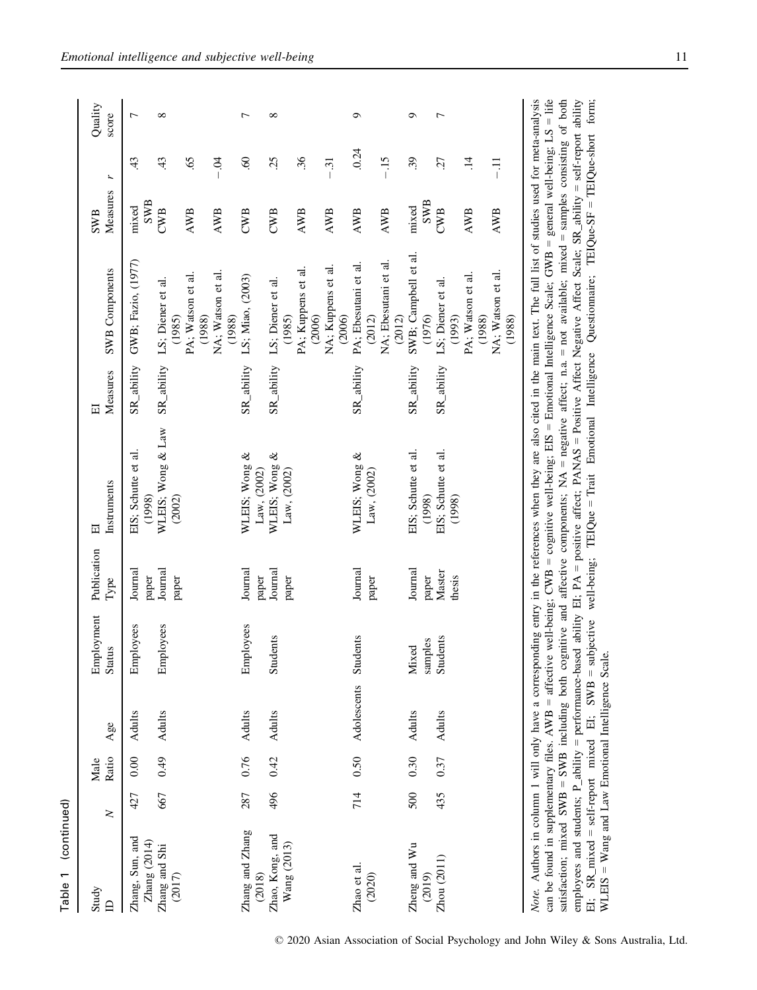| (continued)<br>Table 1           |        |               |                 |                             |                     |                                                                                                                                                                                                                                                                                                                                                                                                                                                                                                                                                                                                                                                                                                     |               |                                |                        |                |                  |
|----------------------------------|--------|---------------|-----------------|-----------------------------|---------------------|-----------------------------------------------------------------------------------------------------------------------------------------------------------------------------------------------------------------------------------------------------------------------------------------------------------------------------------------------------------------------------------------------------------------------------------------------------------------------------------------------------------------------------------------------------------------------------------------------------------------------------------------------------------------------------------------------------|---------------|--------------------------------|------------------------|----------------|------------------|
| Study<br>$\mathbf{\Omega}$       | $\geq$ | Ratio<br>Male | Age             | Employment<br><b>Status</b> | Publication<br>Type | Instruments<br>$\Xi$                                                                                                                                                                                                                                                                                                                                                                                                                                                                                                                                                                                                                                                                                | Measures<br>囗 | <b>SWB Components</b>          | Measures<br><b>SWB</b> | $\overline{ }$ | Quality<br>score |
| Zhang, Sun, and<br>Zhang (2014)  | 427    | 0.00          | Adults          | Employees                   | Journal<br>paper    | EIS; Schutte et al.<br>(1998)                                                                                                                                                                                                                                                                                                                                                                                                                                                                                                                                                                                                                                                                       | $SR_$ ability | GWB; Fazio, (1977)             | <b>SWB</b><br>mixed    | 43             | $\overline{ }$   |
| Zhang and Shi<br>(2017)          |        |               | 667 0.49 Adults | Employees                   | Journal<br>paper    | WLEIS; Wong & Law<br>(2002)                                                                                                                                                                                                                                                                                                                                                                                                                                                                                                                                                                                                                                                                         | SR_ability    | LS; Diener et al.<br>(1985)    | <b>CWB</b>             | 43             | $\infty$         |
|                                  |        |               |                 |                             |                     |                                                                                                                                                                                                                                                                                                                                                                                                                                                                                                                                                                                                                                                                                                     |               | PA; Watson et al.<br>(1988)    | <b>AWB</b>             | 65             |                  |
|                                  |        |               |                 |                             |                     |                                                                                                                                                                                                                                                                                                                                                                                                                                                                                                                                                                                                                                                                                                     |               | NA; Watson et al<br>(1988)     | <b>AWB</b>             | $-0.1$         |                  |
| Zhang and Zhang<br>(2018)        | 287    | 0.76          | Adults          | Employees                   | Journal<br>paper    | ∛<br>WLEIS; Wong<br>Law, (2002)                                                                                                                                                                                                                                                                                                                                                                                                                                                                                                                                                                                                                                                                     | SR_ability    | LS; Miao, (2003)               | <b>CWB</b>             | $\odot$        | 7                |
| Zhao, Kong, and<br>Wang $(2013)$ | 496    | 0.42          | Adults          | Students                    | Journal<br>paper    | ∛<br>WLEIS; Wong<br>Law, (2002)                                                                                                                                                                                                                                                                                                                                                                                                                                                                                                                                                                                                                                                                     | SR_ability    | LS; Diener et al.<br>(1985)    | <b>CWB</b>             | 25             | $^{\circ}$       |
|                                  |        |               |                 |                             |                     |                                                                                                                                                                                                                                                                                                                                                                                                                                                                                                                                                                                                                                                                                                     |               | PA; Kuppens et al.<br>(2006)   | <b>AWB</b>             | 36             |                  |
|                                  |        |               |                 |                             |                     |                                                                                                                                                                                                                                                                                                                                                                                                                                                                                                                                                                                                                                                                                                     |               | NA; Kuppens et al.<br>(2006)   | <b>AWB</b>             | $-31$          |                  |
| Zhao et al.<br>(2020)            | 714    | 0.50          | Adolescents     | <b>Students</b>             | Journal<br>paper    | WLEIS; Wong &<br>Law, (2002)                                                                                                                                                                                                                                                                                                                                                                                                                                                                                                                                                                                                                                                                        | $SR_$ ability | PA; Ebesutani et al.<br>(2012) | <b>AWB</b>             | 0.24           | Ó                |
|                                  |        |               |                 |                             |                     |                                                                                                                                                                                                                                                                                                                                                                                                                                                                                                                                                                                                                                                                                                     |               | NA; Ebesutani et al<br>(2012)  | AWB                    | $-15$          |                  |
| Zheng and Wu<br>(2019)           | 500    | 0.30          | Adults          | Mixed                       | Journal<br>paper    | EIS; Schutte et al.<br>(1998)                                                                                                                                                                                                                                                                                                                                                                                                                                                                                                                                                                                                                                                                       | SR_ability    | SWB; Campbell et al.<br>(1976) | SWB<br>mixed           | 39             | Ó                |
| Zhou (2011)                      | 435    | 0.37          | Adults          | samples<br>Students         | Master<br>thesis    | EIS; Schutte et al.<br>(1998)                                                                                                                                                                                                                                                                                                                                                                                                                                                                                                                                                                                                                                                                       | $SR_$ ability | LS; Diener et al.<br>(1993)    | <b>CWB</b>             | 27             | ┌                |
|                                  |        |               |                 |                             |                     |                                                                                                                                                                                                                                                                                                                                                                                                                                                                                                                                                                                                                                                                                                     |               | PA; Watson et al.<br>(1988)    | AWB                    | $\vec{a}$      |                  |
|                                  |        |               |                 |                             |                     |                                                                                                                                                                                                                                                                                                                                                                                                                                                                                                                                                                                                                                                                                                     |               | NA; Watson et al.<br>(1988)    | <b>AWB</b>             | $-11$          |                  |
|                                  |        |               |                 |                             |                     | Note. Authors in column 1 will only have a corresponding entry in the references when they are also cited in the main text. The full list of studies used for meta-analysis<br>can be found in supplementary files. AWB = affective well-being; CWB = cognitive well-being; EIS = Emotional Intelligence Scale; GWB = general well-being; LS = life<br>satisfaction; mixed SWB = SWB including both cognitive and affective components; $NA$ = negative affect; n.a. = not available; mixed = samples consisting of both<br>employees and students; P_ability = performance-based ability EI; PA = positive affect; PANAS = Positive Affect Negative Affect Scale; SR_ability = self-report ability |               |                                |                        |                |                  |

EI; SR\_mixed

WLEIS

self-report mixed EI; SWB

Wang and Law Emotional Intelligence Scale.

subjective well-being; TEIQue

Trait Emotional Intelligence Questionnaire; TEIQue-SF

TEIQue-short form;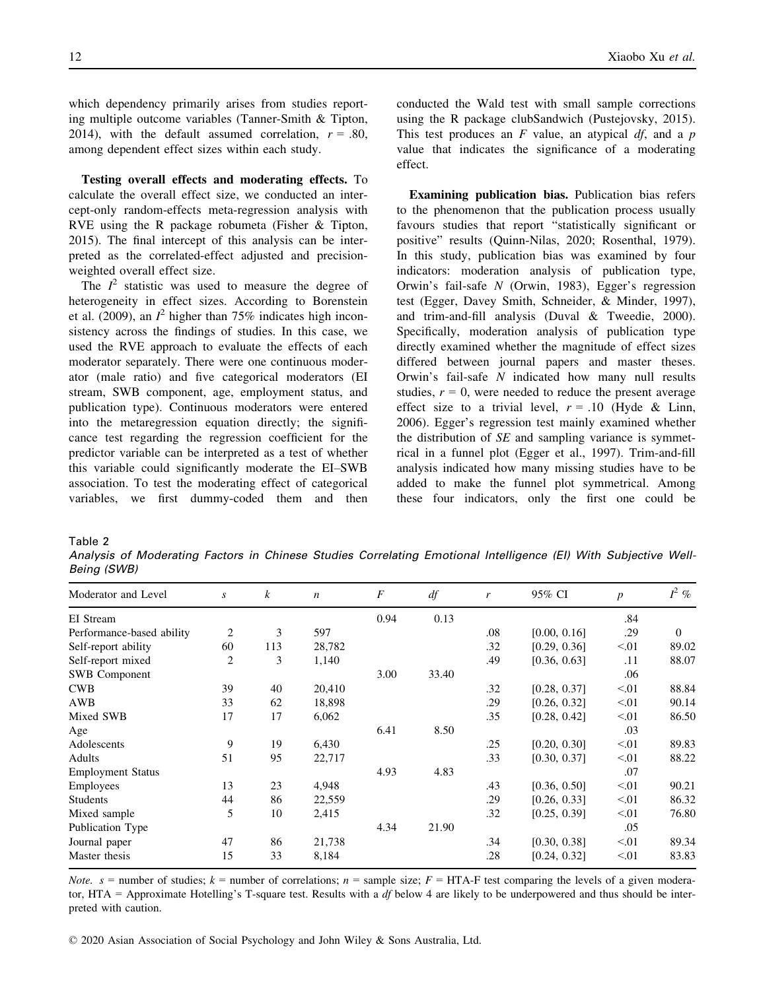which dependency primarily arises from studies reporting multiple outcome variables (Tanner-Smith & Tipton, 2014), with the default assumed correlation,  $r = .80$ , among dependent effect sizes within each study.

Testing overall effects and moderating effects. To calculate the overall effect size, we conducted an intercept-only random-effects meta-regression analysis with RVE using the R package robumeta (Fisher & Tipton, 2015). The final intercept of this analysis can be interpreted as the correlated-effect adjusted and precisionweighted overall effect size.

The  $I^2$  statistic was used to measure the degree of heterogeneity in effect sizes. According to Borenstein et al. (2009), an  $I^2$  higher than 75% indicates high inconsistency across the findings of studies. In this case, we used the RVE approach to evaluate the effects of each moderator separately. There were one continuous moderator (male ratio) and five categorical moderators (EI stream, SWB component, age, employment status, and publication type). Continuous moderators were entered into the metaregression equation directly; the significance test regarding the regression coefficient for the predictor variable can be interpreted as a test of whether this variable could significantly moderate the EI–SWB association. To test the moderating effect of categorical variables, we first dummy-coded them and then conducted the Wald test with small sample corrections using the R package clubSandwich (Pustejovsky, 2015). This test produces an  $F$  value, an atypical  $df$ , and a  $p$ value that indicates the significance of a moderating effect.

Examining publication bias. Publication bias refers to the phenomenon that the publication process usually favours studies that report "statistically significant or positive" results (Quinn-Nilas, 2020; Rosenthal, 1979). In this study, publication bias was examined by four indicators: moderation analysis of publication type, Orwin's fail-safe N (Orwin, 1983), Egger's regression test (Egger, Davey Smith, Schneider, & Minder, 1997), and trim-and-fill analysis (Duval & Tweedie, 2000). Specifically, moderation analysis of publication type directly examined whether the magnitude of effect sizes differed between journal papers and master theses. Orwin's fail-safe N indicated how many null results studies,  $r = 0$ , were needed to reduce the present average effect size to a trivial level,  $r = .10$  (Hyde & Linn, 2006). Egger's regression test mainly examined whether the distribution of SE and sampling variance is symmetrical in a funnel plot (Egger et al., 1997). Trim-and-fill analysis indicated how many missing studies have to be added to make the funnel plot symmetrical. Among these four indicators, only the first one could be

Table 2

Analysis of Moderating Factors in Chinese Studies Correlating Emotional Intelligence (EI) With Subjective Well-Being (SWB)

| Moderator and Level       | S  | $\boldsymbol{k}$ | $\boldsymbol{n}$ | F    | df    | r   | 95% CI       | $\boldsymbol{p}$ | $I^2$ %      |
|---------------------------|----|------------------|------------------|------|-------|-----|--------------|------------------|--------------|
| EI Stream                 |    |                  |                  | 0.94 | 0.13  |     |              | .84              |              |
| Performance-based ability | 2  | 3                | 597              |      |       | .08 | [0.00, 0.16] | .29              | $\mathbf{0}$ |
| Self-report ability       | 60 | 113              | 28,782           |      |       | .32 | [0.29, 0.36] | < 01             | 89.02        |
| Self-report mixed         | 2  | 3                | 1,140            |      |       | .49 | [0.36, 0.63] | .11              | 88.07        |
| <b>SWB</b> Component      |    |                  |                  | 3.00 | 33.40 |     |              | .06              |              |
| <b>CWB</b>                | 39 | 40               | 20,410           |      |       | .32 | [0.28, 0.37] | < 01             | 88.84        |
| AWB                       | 33 | 62               | 18,898           |      |       | .29 | [0.26, 0.32] | < 01             | 90.14        |
| Mixed SWB                 | 17 | 17               | 6,062            |      |       | .35 | [0.28, 0.42] | < 01             | 86.50        |
| Age                       |    |                  |                  | 6.41 | 8.50  |     |              | .03              |              |
| Adolescents               | 9  | 19               | 6,430            |      |       | .25 | [0.20, 0.30] | < 01             | 89.83        |
| Adults                    | 51 | 95               | 22,717           |      |       | .33 | [0.30, 0.37] | < 01             | 88.22        |
| <b>Employment Status</b>  |    |                  |                  | 4.93 | 4.83  |     |              | .07              |              |
| <b>Employees</b>          | 13 | 23               | 4,948            |      |       | .43 | [0.36, 0.50] | < 01             | 90.21        |
| <b>Students</b>           | 44 | 86               | 22,559           |      |       | .29 | [0.26, 0.33] | < 01             | 86.32        |
| Mixed sample              | 5  | 10               | 2,415            |      |       | .32 | [0.25, 0.39] | < 01             | 76.80        |
| Publication Type          |    |                  |                  | 4.34 | 21.90 |     |              | .05              |              |
| Journal paper             | 47 | 86               | 21,738           |      |       | .34 | [0.30, 0.38] | < 01             | 89.34        |
| Master thesis             | 15 | 33               | 8,184            |      |       | .28 | [0.24, 0.32] | < 01             | 83.83        |

*Note.*  $s$  = number of studies;  $k$  = number of correlations;  $n$  = sample size;  $F$  = HTA-F test comparing the levels of a given moderator, HTA = Approximate Hotelling's T-square test. Results with a  $df$  below 4 are likely to be underpowered and thus should be interpreted with caution.

© 2020 Asian Association of Social Psychology and John Wiley & Sons Australia, Ltd.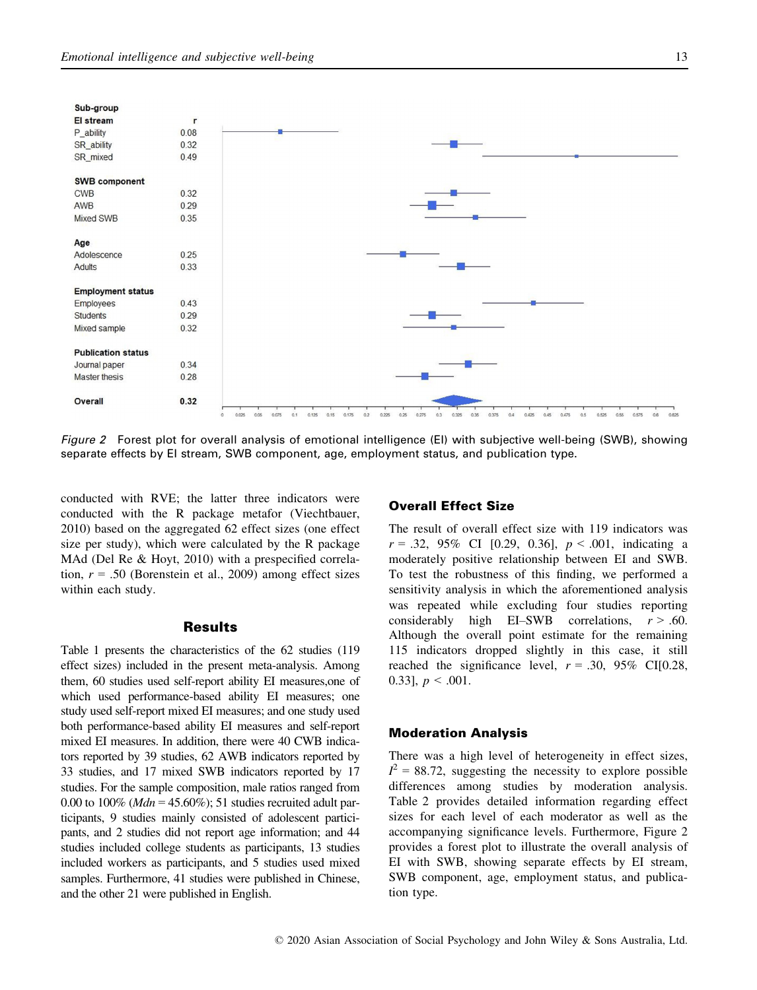

Figure 2 Forest plot for overall analysis of emotional intelligence (EI) with subjective well-being (SWB), showing separate effects by EI stream, SWB component, age, employment status, and publication type.

conducted with RVE; the latter three indicators were conducted with the R package metafor (Viechtbauer, 2010) based on the aggregated 62 effect sizes (one effect size per study), which were calculated by the R package MAd (Del Re & Hoyt, 2010) with a prespecified correlation,  $r = .50$  (Borenstein et al., 2009) among effect sizes within each study.

# Results

Table 1 presents the characteristics of the 62 studies (119 effect sizes) included in the present meta-analysis. Among them, 60 studies used self-report ability EI measures,one of which used performance-based ability EI measures; one study used self-report mixed EI measures; and one study used both performance-based ability EI measures and self-report mixed EI measures. In addition, there were 40 CWB indicators reported by 39 studies, 62 AWB indicators reported by 33 studies, and 17 mixed SWB indicators reported by 17 studies. For the sample composition, male ratios ranged from 0.00 to 100% ( $Mdn = 45.60\%$ ); 51 studies recruited adult participants, 9 studies mainly consisted of adolescent participants, and 2 studies did not report age information; and 44 studies included college students as participants, 13 studies included workers as participants, and 5 studies used mixed samples. Furthermore, 41 studies were published in Chinese, and the other 21 were published in English.

### Overall Effect Size

The result of overall effect size with 119 indicators was  $r = .32, 95\%$  CI [0.29, 0.36],  $p < .001$ , indicating a moderately positive relationship between EI and SWB. To test the robustness of this finding, we performed a sensitivity analysis in which the aforementioned analysis was repeated while excluding four studies reporting considerably high EI–SWB correlations,  $r > .60$ . Although the overall point estimate for the remaining 115 indicators dropped slightly in this case, it still reached the significance level,  $r = .30, 95\%$  CI[0.28, 0.33],  $p < .001$ .

#### Moderation Analysis

There was a high level of heterogeneity in effect sizes,  $I^2 = 88.72$ , suggesting the necessity to explore possible differences among studies by moderation analysis. Table 2 provides detailed information regarding effect sizes for each level of each moderator as well as the accompanying significance levels. Furthermore, Figure 2 provides a forest plot to illustrate the overall analysis of EI with SWB, showing separate effects by EI stream, SWB component, age, employment status, and publication type.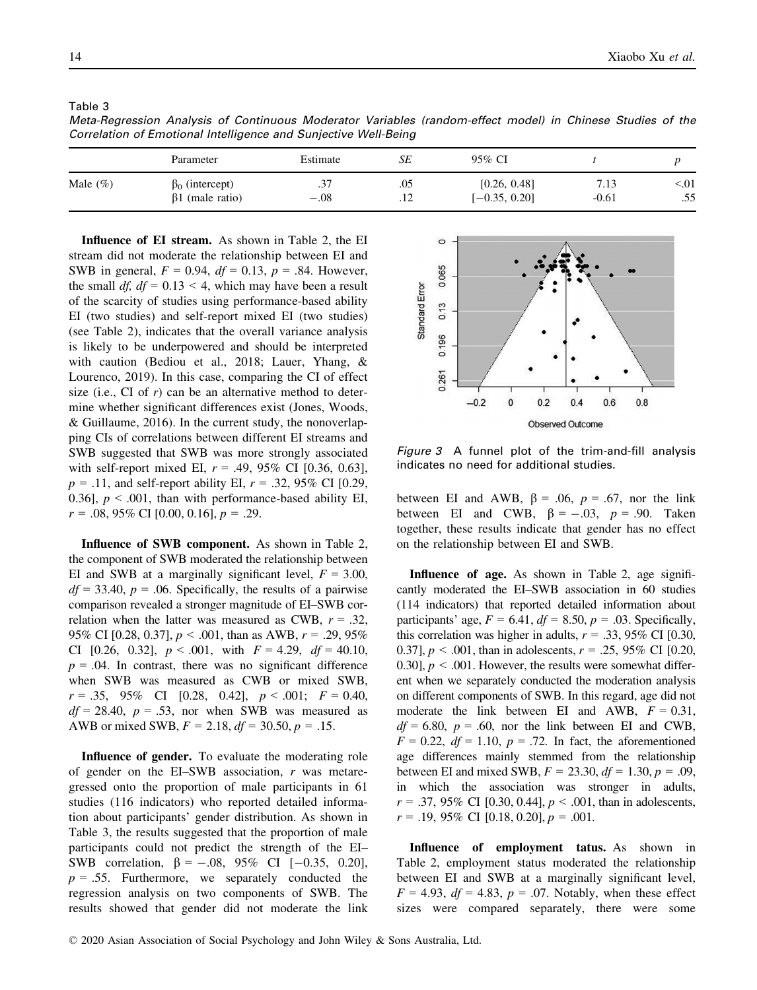| Meta-Regression Analysis of Continuous Moderator Variables (random-effect model) in Chinese Studies of the |  |  |  |  |  |
|------------------------------------------------------------------------------------------------------------|--|--|--|--|--|
| Correlation of Emotional Intelligence and Sunjective Well-Being                                            |  |  |  |  |  |

|             | Parameter              | Estimate | SE  | 95% CI          |         |      |
|-------------|------------------------|----------|-----|-----------------|---------|------|
| Male $(\%)$ | $\beta_0$ (intercept)  | .37      | .05 | [0.26, 0.48]    | 7.13    | < 01 |
|             | $\beta$ 1 (male ratio) | $-.08$   | .14 | $[-0.35, 0.20]$ | $-0.61$ | .55  |

Influence of EI stream. As shown in Table 2, the EI stream did not moderate the relationship between EI and SWB in general,  $F = 0.94$ ,  $df = 0.13$ ,  $p = .84$ . However, the small df,  $df = 0.13 < 4$ , which may have been a result of the scarcity of studies using performance-based ability EI (two studies) and self-report mixed EI (two studies) (see Table 2), indicates that the overall variance analysis is likely to be underpowered and should be interpreted with caution (Bediou et al., 2018; Lauer, Yhang, & Lourenco, 2019). In this case, comparing the CI of effect size (i.e., CI of  $r$ ) can be an alternative method to determine whether significant differences exist (Jones, Woods, & Guillaume, 2016). In the current study, the nonoverlapping CIs of correlations between different EI streams and SWB suggested that SWB was more strongly associated with self-report mixed EI,  $r = .49, 95\%$  CI [0.36, 0.63],  $p = .11$ , and self-report ability EI,  $r = .32, 95\%$  CI [0.29, 0.36],  $p < .001$ , than with performance-based ability EI,  $r = .08,95\%$  CI [0.00, 0.16],  $p = .29$ .

Influence of SWB component. As shown in Table 2, the component of SWB moderated the relationship between EI and SWB at a marginally significant level,  $F = 3.00$ ,  $df = 33.40$ ,  $p = .06$ . Specifically, the results of a pairwise comparison revealed a stronger magnitude of EI–SWB correlation when the latter was measured as CWB,  $r = .32$ , 95% CI [0.28, 0.37],  $p < .001$ , than as AWB,  $r = .29$ , 95% CI [0.26, 0.32],  $p < .001$ , with  $F = 4.29$ ,  $df = 40.10$ ,  $p = .04$ . In contrast, there was no significant difference when SWB was measured as CWB or mixed SWB,  $r = .35, 95\%$  CI [0.28, 0.42],  $p < .001$ ;  $F = 0.40$ ,  $df = 28.40$ ,  $p = .53$ , nor when SWB was measured as AWB or mixed SWB,  $F = 2.18$ ,  $df = 30.50$ ,  $p = .15$ .

Influence of gender. To evaluate the moderating role of gender on the EI–SWB association, r was metaregressed onto the proportion of male participants in 61 studies (116 indicators) who reported detailed information about participants' gender distribution. As shown in Table 3, the results suggested that the proportion of male participants could not predict the strength of the EI– SWB correlation,  $\beta = -.08, 95\%$  CI  $[-0.35, 0.20]$ ,  $p = .55$ . Furthermore, we separately conducted the regression analysis on two components of SWB. The results showed that gender did not moderate the link



Figure 3 A funnel plot of the trim-and-fill analysis indicates no need for additional studies.

between EI and AWB,  $\beta = .06$ ,  $p = .67$ , nor the link between EI and CWB,  $\beta = -.03$ ,  $p = .90$ . Taken together, these results indicate that gender has no effect on the relationship between EI and SWB.

Influence of age. As shown in Table 2, age significantly moderated the EI–SWB association in 60 studies (114 indicators) that reported detailed information about participants' age,  $F = 6.41$ ,  $df = 8.50$ ,  $p = .03$ . Specifically, this correlation was higher in adults,  $r = .33,95\%$  CI [0.30, 0.37],  $p < .001$ , than in adolescents,  $r = .25, 95\%$  CI [0.20, 0.30],  $p < .001$ . However, the results were somewhat different when we separately conducted the moderation analysis on different components of SWB. In this regard, age did not moderate the link between EI and AWB,  $F = 0.31$ ,  $df = 6.80$ ,  $p = .60$ , nor the link between EI and CWB,  $F = 0.22$ ,  $df = 1.10$ ,  $p = .72$ . In fact, the aforementioned age differences mainly stemmed from the relationship between EI and mixed SWB,  $F = 23.30, df = 1.30, p = .09$ , in which the association was stronger in adults,  $r = .37, 95\% \text{ CI}$  [0.30, 0.44],  $p < .001$ , than in adolescents,  $r = .19, 95\% \text{ CI} [0.18, 0.20], p = .001.$ 

Influence of employment tatus. As shown in Table 2, employment status moderated the relationship between EI and SWB at a marginally significant level,  $F = 4.93$ ,  $df = 4.83$ ,  $p = .07$ . Notably, when these effect sizes were compared separately, there were some

Table 3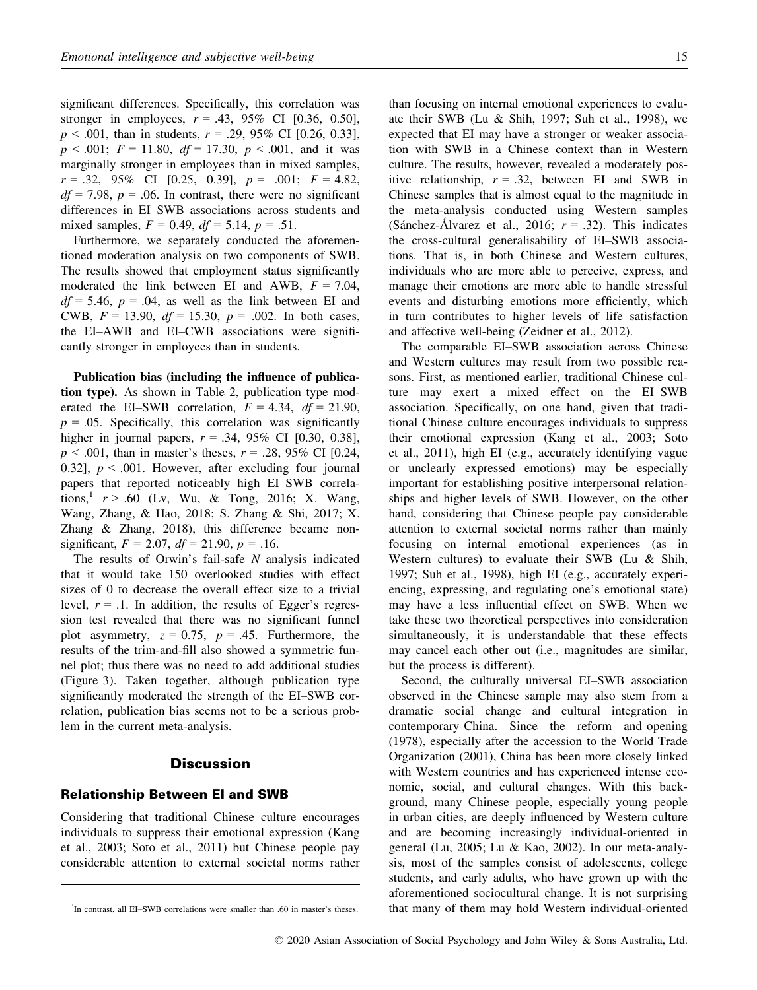significant differences. Specifically, this correlation was stronger in employees,  $r = .43, 95\%$  CI [0.36, 0.50],  $p < .001$ , than in students,  $r = .29, 95\%$  CI [0.26, 0.33],  $p < .001$ ;  $F = 11.80$ ,  $df = 17.30$ ,  $p < .001$ , and it was marginally stronger in employees than in mixed samples,  $r = .32, 95\% \text{ CI} [0.25, 0.39], p = .001; F = 4.82,$  $df = 7.98$ ,  $p = .06$ . In contrast, there were no significant differences in EI–SWB associations across students and mixed samples,  $F = 0.49$ ,  $df = 5.14$ ,  $p = .51$ .

Furthermore, we separately conducted the aforementioned moderation analysis on two components of SWB. The results showed that employment status significantly moderated the link between EI and AWB,  $F = 7.04$ ,  $df = 5.46$ ,  $p = .04$ , as well as the link between EI and CWB,  $F = 13.90$ ,  $df = 15.30$ ,  $p = .002$ . In both cases, the EI–AWB and EI–CWB associations were significantly stronger in employees than in students.

Publication bias (including the influence of publication type). As shown in Table 2, publication type moderated the EI–SWB correlation,  $F = 4.34$ ,  $df = 21.90$ ,  $p = .05$ . Specifically, this correlation was significantly higher in journal papers,  $r = .34, 95\%$  CI [0.30, 0.38],  $p \le 0.001$ , than in master's theses,  $r = 0.28$ , 95% CI [0.24, 0.32],  $p < .001$ . However, after excluding four journal papers that reported noticeably high EI–SWB correlations,  $r > .60$  (Lv, Wu, & Tong, 2016; X. Wang, Wang, Zhang, & Hao, 2018; S. Zhang & Shi, 2017; X. Zhang & Zhang, 2018), this difference became nonsignificant,  $F = 2.07$ ,  $df = 21.90$ ,  $p = .16$ .

The results of Orwin's fail-safe N analysis indicated that it would take 150 overlooked studies with effect sizes of 0 to decrease the overall effect size to a trivial level,  $r = .1$ . In addition, the results of Egger's regression test revealed that there was no significant funnel plot asymmetry,  $z = 0.75$ ,  $p = .45$ . Furthermore, the results of the trim-and-fill also showed a symmetric funnel plot; thus there was no need to add additional studies (Figure 3). Taken together, although publication type significantly moderated the strength of the EI–SWB correlation, publication bias seems not to be a serious problem in the current meta-analysis.

## **Discussion**

#### Relationship Between EI and SWB

Considering that traditional Chinese culture encourages individuals to suppress their emotional expression (Kang et al., 2003; Soto et al., 2011) but Chinese people pay considerable attention to external societal norms rather than focusing on internal emotional experiences to evaluate their SWB (Lu & Shih, 1997; Suh et al., 1998), we expected that EI may have a stronger or weaker association with SWB in a Chinese context than in Western culture. The results, however, revealed a moderately positive relationship,  $r = .32$ , between EI and SWB in Chinese samples that is almost equal to the magnitude in the meta-analysis conducted using Western samples (Sánchez-Álvarez et al., 2016;  $r = .32$ ). This indicates the cross-cultural generalisability of EI–SWB associations. That is, in both Chinese and Western cultures, individuals who are more able to perceive, express, and manage their emotions are more able to handle stressful events and disturbing emotions more efficiently, which in turn contributes to higher levels of life satisfaction and affective well-being (Zeidner et al., 2012).

The comparable EI–SWB association across Chinese and Western cultures may result from two possible reasons. First, as mentioned earlier, traditional Chinese culture may exert a mixed effect on the EI–SWB association. Specifically, on one hand, given that traditional Chinese culture encourages individuals to suppress their emotional expression (Kang et al., 2003; Soto et al., 2011), high EI (e.g., accurately identifying vague or unclearly expressed emotions) may be especially important for establishing positive interpersonal relationships and higher levels of SWB. However, on the other hand, considering that Chinese people pay considerable attention to external societal norms rather than mainly focusing on internal emotional experiences (as in Western cultures) to evaluate their SWB (Lu & Shih, 1997; Suh et al., 1998), high EI (e.g., accurately experiencing, expressing, and regulating one's emotional state) may have a less influential effect on SWB. When we take these two theoretical perspectives into consideration simultaneously, it is understandable that these effects may cancel each other out (i.e., magnitudes are similar, but the process is different).

Second, the culturally universal EI–SWB association observed in the Chinese sample may also stem from a dramatic social change and cultural integration in contemporary China. Since the reform and opening (1978), especially after the accession to the World Trade Organization (2001), China has been more closely linked with Western countries and has experienced intense economic, social, and cultural changes. With this background, many Chinese people, especially young people in urban cities, are deeply influenced by Western culture and are becoming increasingly individual-oriented in general (Lu, 2005; Lu & Kao, 2002). In our meta-analysis, most of the samples consist of adolescents, college students, and early adults, who have grown up with the aforementioned sociocultural change. It is not surprising that many of them may hold Western individual-oriented

In contrast, all EI–SWB correlations were smaller than .60 in master's theses.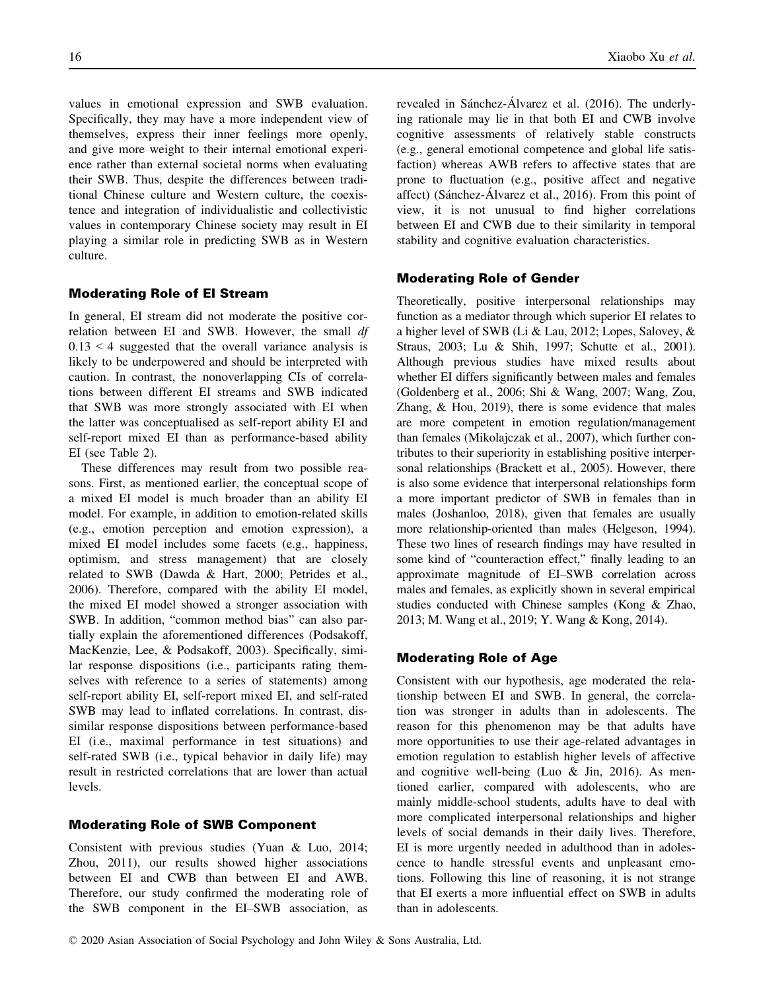values in emotional expression and SWB evaluation. Specifically, they may have a more independent view of themselves, express their inner feelings more openly, and give more weight to their internal emotional experience rather than external societal norms when evaluating their SWB. Thus, despite the differences between traditional Chinese culture and Western culture, the coexistence and integration of individualistic and collectivistic values in contemporary Chinese society may result in EI playing a similar role in predicting SWB as in Western culture.

#### Moderating Role of EI Stream

In general, EI stream did not moderate the positive correlation between EI and SWB. However, the small df  $0.13 < 4$  suggested that the overall variance analysis is likely to be underpowered and should be interpreted with caution. In contrast, the nonoverlapping CIs of correlations between different EI streams and SWB indicated that SWB was more strongly associated with EI when the latter was conceptualised as self-report ability EI and self-report mixed EI than as performance-based ability EI (see Table 2).

These differences may result from two possible reasons. First, as mentioned earlier, the conceptual scope of a mixed EI model is much broader than an ability EI model. For example, in addition to emotion-related skills (e.g., emotion perception and emotion expression), a mixed EI model includes some facets (e.g., happiness, optimism, and stress management) that are closely related to SWB (Dawda & Hart, 2000; Petrides et al., 2006). Therefore, compared with the ability EI model, the mixed EI model showed a stronger association with SWB. In addition, "common method bias" can also partially explain the aforementioned differences (Podsakoff, MacKenzie, Lee, & Podsakoff, 2003). Specifically, similar response dispositions (i.e., participants rating themselves with reference to a series of statements) among self-report ability EI, self-report mixed EI, and self-rated SWB may lead to inflated correlations. In contrast, dissimilar response dispositions between performance-based EI (i.e., maximal performance in test situations) and self-rated SWB (i.e., typical behavior in daily life) may result in restricted correlations that are lower than actual levels.

## Moderating Role of SWB Component

Consistent with previous studies (Yuan & Luo, 2014; Zhou, 2011), our results showed higher associations between EI and CWB than between EI and AWB. Therefore, our study confirmed the moderating role of the SWB component in the EI–SWB association, as

revealed in Sánchez-Álvarez et al. (2016). The underlying rationale may lie in that both EI and CWB involve cognitive assessments of relatively stable constructs (e.g., general emotional competence and global life satisfaction) whereas AWB refers to affective states that are prone to fluctuation (e.g., positive affect and negative affect) (Sánchez-Álvarez et al., 2016). From this point of view, it is not unusual to find higher correlations between EI and CWB due to their similarity in temporal stability and cognitive evaluation characteristics.

# Moderating Role of Gender

Theoretically, positive interpersonal relationships may function as a mediator through which superior EI relates to a higher level of SWB (Li & Lau, 2012; Lopes, Salovey, & Straus, 2003; Lu & Shih, 1997; Schutte et al., 2001). Although previous studies have mixed results about whether EI differs significantly between males and females (Goldenberg et al., 2006; Shi & Wang, 2007; Wang, Zou, Zhang, & Hou, 2019), there is some evidence that males are more competent in emotion regulation/management than females (Mikolajczak et al., 2007), which further contributes to their superiority in establishing positive interpersonal relationships (Brackett et al., 2005). However, there is also some evidence that interpersonal relationships form a more important predictor of SWB in females than in males (Joshanloo, 2018), given that females are usually more relationship-oriented than males (Helgeson, 1994). These two lines of research findings may have resulted in some kind of "counteraction effect," finally leading to an approximate magnitude of EI–SWB correlation across males and females, as explicitly shown in several empirical studies conducted with Chinese samples (Kong & Zhao, 2013; M. Wang et al., 2019; Y. Wang & Kong, 2014).

# Moderating Role of Age

Consistent with our hypothesis, age moderated the relationship between EI and SWB. In general, the correlation was stronger in adults than in adolescents. The reason for this phenomenon may be that adults have more opportunities to use their age-related advantages in emotion regulation to establish higher levels of affective and cognitive well-being (Luo & Jin, 2016). As mentioned earlier, compared with adolescents, who are mainly middle-school students, adults have to deal with more complicated interpersonal relationships and higher levels of social demands in their daily lives. Therefore, EI is more urgently needed in adulthood than in adolescence to handle stressful events and unpleasant emotions. Following this line of reasoning, it is not strange that EI exerts a more influential effect on SWB in adults than in adolescents.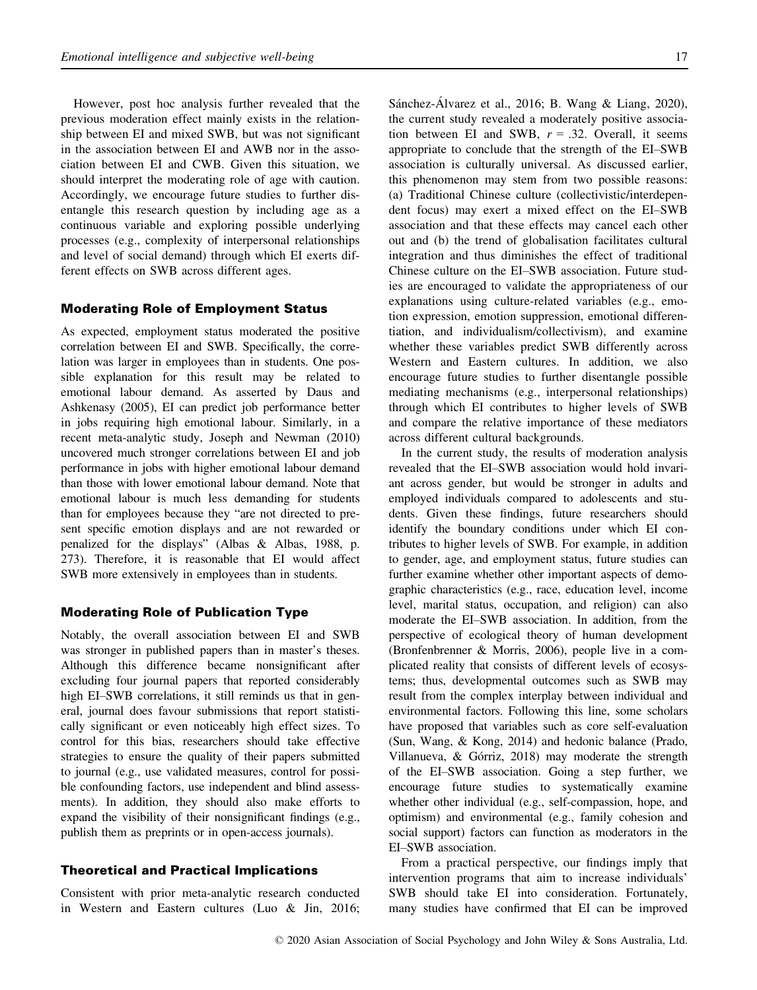However, post hoc analysis further revealed that the previous moderation effect mainly exists in the relationship between EI and mixed SWB, but was not significant in the association between EI and AWB nor in the association between EI and CWB. Given this situation, we should interpret the moderating role of age with caution. Accordingly, we encourage future studies to further disentangle this research question by including age as a continuous variable and exploring possible underlying processes (e.g., complexity of interpersonal relationships and level of social demand) through which EI exerts different effects on SWB across different ages.

#### Moderating Role of Employment Status

As expected, employment status moderated the positive correlation between EI and SWB. Specifically, the correlation was larger in employees than in students. One possible explanation for this result may be related to emotional labour demand. As asserted by Daus and Ashkenasy (2005), EI can predict job performance better in jobs requiring high emotional labour. Similarly, in a recent meta-analytic study, Joseph and Newman (2010) uncovered much stronger correlations between EI and job performance in jobs with higher emotional labour demand than those with lower emotional labour demand. Note that emotional labour is much less demanding for students than for employees because they "are not directed to present specific emotion displays and are not rewarded or penalized for the displays" (Albas & Albas, 1988, p. 273). Therefore, it is reasonable that EI would affect SWB more extensively in employees than in students.

#### Moderating Role of Publication Type

Notably, the overall association between EI and SWB was stronger in published papers than in master's theses. Although this difference became nonsignificant after excluding four journal papers that reported considerably high EI–SWB correlations, it still reminds us that in general, journal does favour submissions that report statistically significant or even noticeably high effect sizes. To control for this bias, researchers should take effective strategies to ensure the quality of their papers submitted to journal (e.g., use validated measures, control for possible confounding factors, use independent and blind assessments). In addition, they should also make efforts to expand the visibility of their nonsignificant findings (e.g., publish them as preprints or in open-access journals).

### Theoretical and Practical Implications

Consistent with prior meta-analytic research conducted in Western and Eastern cultures (Luo & Jin, 2016;

Sánchez-Álvarez et al., 2016; B. Wang & Liang, 2020), the current study revealed a moderately positive association between EI and SWB,  $r = .32$ . Overall, it seems appropriate to conclude that the strength of the EI–SWB association is culturally universal. As discussed earlier, this phenomenon may stem from two possible reasons: (a) Traditional Chinese culture (collectivistic/interdependent focus) may exert a mixed effect on the EI–SWB association and that these effects may cancel each other out and (b) the trend of globalisation facilitates cultural integration and thus diminishes the effect of traditional Chinese culture on the EI–SWB association. Future studies are encouraged to validate the appropriateness of our explanations using culture-related variables (e.g., emotion expression, emotion suppression, emotional differentiation, and individualism/collectivism), and examine whether these variables predict SWB differently across Western and Eastern cultures. In addition, we also encourage future studies to further disentangle possible mediating mechanisms (e.g., interpersonal relationships) through which EI contributes to higher levels of SWB and compare the relative importance of these mediators across different cultural backgrounds.

In the current study, the results of moderation analysis revealed that the EI–SWB association would hold invariant across gender, but would be stronger in adults and employed individuals compared to adolescents and students. Given these findings, future researchers should identify the boundary conditions under which EI contributes to higher levels of SWB. For example, in addition to gender, age, and employment status, future studies can further examine whether other important aspects of demographic characteristics (e.g., race, education level, income level, marital status, occupation, and religion) can also moderate the EI–SWB association. In addition, from the perspective of ecological theory of human development (Bronfenbrenner & Morris, 2006), people live in a complicated reality that consists of different levels of ecosystems; thus, developmental outcomes such as SWB may result from the complex interplay between individual and environmental factors. Following this line, some scholars have proposed that variables such as core self-evaluation (Sun, Wang, & Kong, 2014) and hedonic balance (Prado, Villanueva, & Górriz, 2018) may moderate the strength of the EI–SWB association. Going a step further, we encourage future studies to systematically examine whether other individual (e.g., self-compassion, hope, and optimism) and environmental (e.g., family cohesion and social support) factors can function as moderators in the EI–SWB association.

From a practical perspective, our findings imply that intervention programs that aim to increase individuals' SWB should take EI into consideration. Fortunately, many studies have confirmed that EI can be improved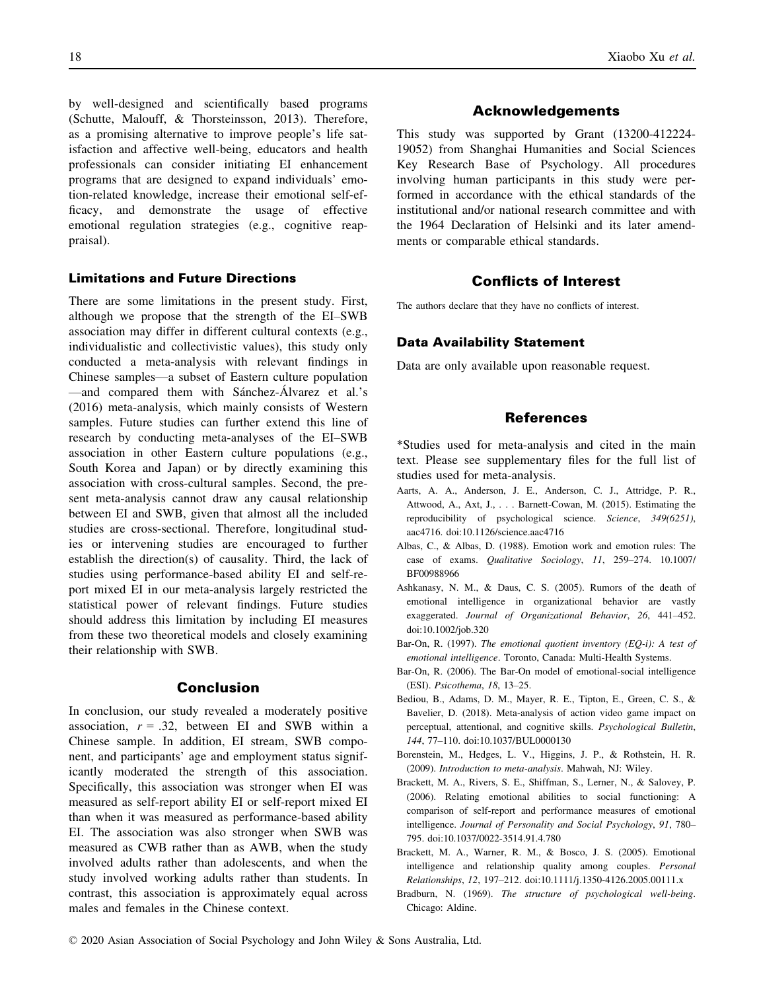by well-designed and scientifically based programs (Schutte, Malouff, & Thorsteinsson, 2013). Therefore, as a promising alternative to improve people's life satisfaction and affective well-being, educators and health professionals can consider initiating EI enhancement programs that are designed to expand individuals' emotion-related knowledge, increase their emotional self-efficacy, and demonstrate the usage of effective emotional regulation strategies (e.g., cognitive reappraisal).

# Limitations and Future Directions

There are some limitations in the present study. First, although we propose that the strength of the EI–SWB association may differ in different cultural contexts (e.g., individualistic and collectivistic values), this study only conducted a meta-analysis with relevant findings in Chinese samples—a subset of Eastern culture population -and compared them with Sánchez-Álvarez et al.'s (2016) meta-analysis, which mainly consists of Western samples. Future studies can further extend this line of research by conducting meta-analyses of the EI–SWB association in other Eastern culture populations (e.g., South Korea and Japan) or by directly examining this association with cross-cultural samples. Second, the present meta-analysis cannot draw any causal relationship between EI and SWB, given that almost all the included studies are cross-sectional. Therefore, longitudinal studies or intervening studies are encouraged to further establish the direction(s) of causality. Third, the lack of studies using performance-based ability EI and self-report mixed EI in our meta-analysis largely restricted the statistical power of relevant findings. Future studies should address this limitation by including EI measures from these two theoretical models and closely examining their relationship with SWB.

### Conclusion

In conclusion, our study revealed a moderately positive association,  $r = .32$ , between EI and SWB within a Chinese sample. In addition, EI stream, SWB component, and participants' age and employment status significantly moderated the strength of this association. Specifically, this association was stronger when EI was measured as self-report ability EI or self-report mixed EI than when it was measured as performance-based ability EI. The association was also stronger when SWB was measured as CWB rather than as AWB, when the study involved adults rather than adolescents, and when the study involved working adults rather than students. In contrast, this association is approximately equal across males and females in the Chinese context.

#### Acknowledgements

This study was supported by Grant (13200-412224- 19052) from Shanghai Humanities and Social Sciences Key Research Base of Psychology. All procedures involving human participants in this study were performed in accordance with the ethical standards of the institutional and/or national research committee and with the 1964 Declaration of Helsinki and its later amendments or comparable ethical standards.

## Conflicts of Interest

The authors declare that they have no conflicts of interest.

### Data Availability Statement

Data are only available upon reasonable request.

# References

\*Studies used for meta-analysis and cited in the main text. Please see supplementary files for the full list of studies used for meta-analysis.

- Aarts, A. A., Anderson, J. E., Anderson, C. J., Attridge, P. R., Attwood, A., Axt, J., . . . Barnett-Cowan, M. (2015). Estimating the reproducibility of psychological science. Science, 349(6251), aac4716. doi:[10.1126/science.aac4716](https://doi.org/10.1126/science.aac4716)
- Albas, C., & Albas, D. (1988). Emotion work and emotion rules: The case of exams. Qualitative Sociology, 11, 259–274. [10.1007/](https://doi.org/10.1007/BF00988966) [BF00988966](https://doi.org/10.1007/BF00988966)
- Ashkanasy, N. M., & Daus, C. S. (2005). Rumors of the death of emotional intelligence in organizational behavior are vastly exaggerated. Journal of Organizational Behavior, 26, 441–452. doi[:10.1002/job.320](https://doi.org/10.1002/job.320)
- Bar-On, R. (1997). The emotional quotient inventory (EQ-i): A test of emotional intelligence. Toronto, Canada: Multi-Health Systems.
- Bar-On, R. (2006). The Bar-On model of emotional-social intelligence (ESI). Psicothema, 18, 13–25.
- Bediou, B., Adams, D. M., Mayer, R. E., Tipton, E., Green, C. S., & Bavelier, D. (2018). Meta-analysis of action video game impact on perceptual, attentional, and cognitive skills. Psychological Bulletin, 144, 77–110. doi[:10.1037/BUL0000130](https://doi.org/10.1037/BUL0000130)
- Borenstein, M., Hedges, L. V., Higgins, J. P., & Rothstein, H. R. (2009). Introduction to meta-analysis. Mahwah, NJ: Wiley.
- Brackett, M. A., Rivers, S. E., Shiffman, S., Lerner, N., & Salovey, P. (2006). Relating emotional abilities to social functioning: A comparison of self-report and performance measures of emotional intelligence. Journal of Personality and Social Psychology, 91, 780– 795. doi:[10.1037/0022-3514.91.4.780](https://doi.org/10.1037/0022-3514.91.4.780)
- Brackett, M. A., Warner, R. M., & Bosco, J. S. (2005). Emotional intelligence and relationship quality among couples. Personal Relationships, 12, 197–212. doi[:10.1111/j.1350-4126.2005.00111.x](https://doi.org/10.1111/j.1350-4126.2005.00111.x)
- Bradburn, N. (1969). The structure of psychological well-being. Chicago: Aldine.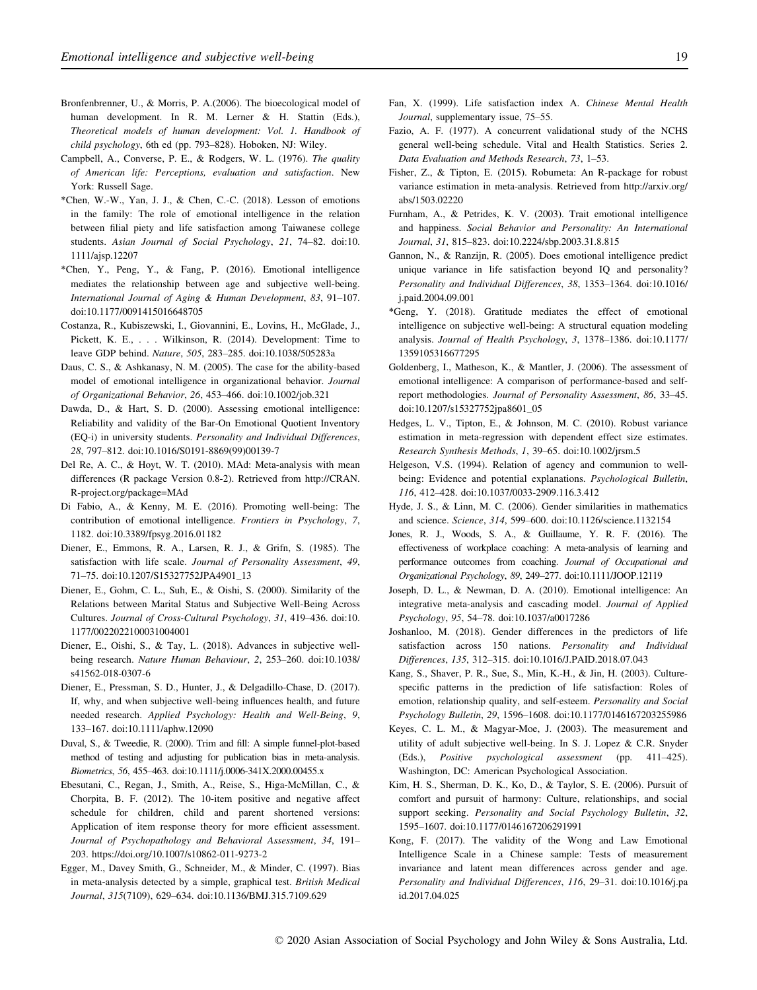- Bronfenbrenner, U., & Morris, P. A.(2006). The bioecological model of human development. In R. M. Lerner & H. Stattin (Eds.), Theoretical models of human development: Vol. 1. Handbook of child psychology, 6th ed (pp. 793–828). Hoboken, NJ: Wiley.
- Campbell, A., Converse, P. E., & Rodgers, W. L. (1976). The quality of American life: Perceptions, evaluation and satisfaction. New York: Russell Sage.
- \*Chen, W.-W., Yan, J. J., & Chen, C.-C. (2018). Lesson of emotions in the family: The role of emotional intelligence in the relation between filial piety and life satisfaction among Taiwanese college students. Asian Journal of Social Psychology, 21, 74–82. doi[:10.](https://doi.org/10.1111/ajsp.12207) [1111/ajsp.12207](https://doi.org/10.1111/ajsp.12207)
- \*Chen, Y., Peng, Y., & Fang, P. (2016). Emotional intelligence mediates the relationship between age and subjective well-being. International Journal of Aging & Human Development, 83, 91–107. doi[:10.1177/0091415016648705](https://doi.org/10.1177/0091415016648705)
- Costanza, R., Kubiszewski, I., Giovannini, E., Lovins, H., McGlade, J., Pickett, K. E., . . . Wilkinson, R. (2014). Development: Time to leave GDP behind. Nature, 505, 283–285. doi[:10.1038/505283a](https://doi.org/10.1038/505283a)
- Daus, C. S., & Ashkanasy, N. M. (2005). The case for the ability-based model of emotional intelligence in organizational behavior. Journal of Organizational Behavior, 26, 453–466. doi[:10.1002/job.321](https://doi.org/10.1002/job.321)
- Dawda, D., & Hart, S. D. (2000). Assessing emotional intelligence: Reliability and validity of the Bar-On Emotional Quotient Inventory (EQ-i) in university students. Personality and Individual Differences, 28, 797–812. doi[:10.1016/S0191-8869\(99\)00139-7](https://doi.org/10.1016/S0191-8869(99)00139-7)
- Del Re, A. C., & Hoyt, W. T. (2010). MAd: Meta-analysis with mean differences (R package Version 0.8-2). Retrieved from [http://CRAN.](http://CRAN.R-project.org/package=MAd) [R-project.org/package=MAd](http://CRAN.R-project.org/package=MAd)
- Di Fabio, A., & Kenny, M. E. (2016). Promoting well-being: The contribution of emotional intelligence. Frontiers in Psychology, 7, 1182. doi:[10.3389/fpsyg.2016.01182](https://doi.org/10.3389/fpsyg.2016.01182)
- Diener, E., Emmons, R. A., Larsen, R. J., & Grifn, S. (1985). The satisfaction with life scale. Journal of Personality Assessment, 49, 71–75. doi:[10.1207/S15327752JPA4901\\_13](https://doi.org/10.1207/S15327752JPA4901_13)
- Diener, E., Gohm, C. L., Suh, E., & Oishi, S. (2000). Similarity of the Relations between Marital Status and Subjective Well-Being Across Cultures. Journal of Cross-Cultural Psychology, 31, 419–436. doi[:10.](https://doi.org/10.1177/0022022100031004001) [1177/0022022100031004001](https://doi.org/10.1177/0022022100031004001)
- Diener, E., Oishi, S., & Tay, L. (2018). Advances in subjective wellbeing research. Nature Human Behaviour, 2, 253–260. doi[:10.1038/](https://doi.org/10.1038/s41562-018-0307-6) [s41562-018-0307-6](https://doi.org/10.1038/s41562-018-0307-6)
- Diener, E., Pressman, S. D., Hunter, J., & Delgadillo-Chase, D. (2017). If, why, and when subjective well-being influences health, and future needed research. Applied Psychology: Health and Well-Being, 9, 133–167. doi:[10.1111/aphw.12090](https://doi.org/10.1111/aphw.12090)
- Duval, S., & Tweedie, R. (2000). Trim and fill: A simple funnel-plot-based method of testing and adjusting for publication bias in meta-analysis. Biometrics, 56, 455–463. doi[:10.1111/j.0006-341X.2000.00455.x](https://doi.org/10.1111/j.0006-341X.2000.00455.x)
- Ebesutani, C., Regan, J., Smith, A., Reise, S., Higa-McMillan, C., & Chorpita, B. F. (2012). The 10-item positive and negative affect schedule for children, child and parent shortened versions: Application of item response theory for more efficient assessment. Journal of Psychopathology and Behavioral Assessment, 34, 191– 203.<https://doi.org/10.1007/s10862-011-9273-2>
- Egger, M., Davey Smith, G., Schneider, M., & Minder, C. (1997). Bias in meta-analysis detected by a simple, graphical test. British Medical Journal, 315(7109), 629–634. doi:[10.1136/BMJ.315.7109.629](https://doi.org/10.1136/BMJ.315.7109.629)
- Fan, X. (1999). Life satisfaction index A. Chinese Mental Health Journal, supplementary issue, 75–55.
- Fazio, A. F. (1977). A concurrent validational study of the NCHS general well-being schedule. Vital and Health Statistics. Series 2. Data Evaluation and Methods Research, 73, 1–53.
- Fisher, Z., & Tipton, E. (2015). Robumeta: An R-package for robust variance estimation in meta-analysis. Retrieved from [http://arxiv.org/](http://arxiv.org/abs/1503.02220) [abs/1503.02220](http://arxiv.org/abs/1503.02220)
- Furnham, A., & Petrides, K. V. (2003). Trait emotional intelligence and happiness. Social Behavior and Personality: An International Journal, 31, 815–823. doi:[10.2224/sbp.2003.31.8.815](https://doi.org/10.2224/sbp.2003.31.8.815)
- Gannon, N., & Ranzijn, R. (2005). Does emotional intelligence predict unique variance in life satisfaction beyond IQ and personality? Personality and Individual Differences, 38, 1353–1364. doi[:10.1016/](https://doi.org/10.1016/j.paid.2004.09.001) [j.paid.2004.09.001](https://doi.org/10.1016/j.paid.2004.09.001)
- \*Geng, Y. (2018). Gratitude mediates the effect of emotional intelligence on subjective well-being: A structural equation modeling analysis. Journal of Health Psychology, 3, 1378–1386. doi[:10.1177/](https://doi.org/10.1177/1359105316677295) [1359105316677295](https://doi.org/10.1177/1359105316677295)
- Goldenberg, I., Matheson, K., & Mantler, J. (2006). The assessment of emotional intelligence: A comparison of performance-based and selfreport methodologies. Journal of Personality Assessment, 86, 33–45. doi[:10.1207/s15327752jpa8601\\_05](https://doi.org/10.1207/s15327752jpa8601_05)
- Hedges, L. V., Tipton, E., & Johnson, M. C. (2010). Robust variance estimation in meta-regression with dependent effect size estimates. Research Synthesis Methods, 1, 39–65. doi:[10.1002/jrsm.5](https://doi.org/10.1002/jrsm.5)
- Helgeson, V.S. (1994). Relation of agency and communion to wellbeing: Evidence and potential explanations. Psychological Bulletin, 116, 412–428. doi[:10.1037/0033-2909.116.3.412](https://doi.org/10.1037/0033-2909.116.3.412)
- Hyde, J. S., & Linn, M. C. (2006). Gender similarities in mathematics and science. Science, 314, 599–600. doi[:10.1126/science.1132154](https://doi.org/10.1126/science.1132154)
- Jones, R. J., Woods, S. A., & Guillaume, Y. R. F. (2016). The effectiveness of workplace coaching: A meta-analysis of learning and performance outcomes from coaching. Journal of Occupational and Organizational Psychology, 89, 249–277. doi[:10.1111/JOOP.12119](https://doi.org/10.1111/JOOP.12119)
- Joseph, D. L., & Newman, D. A. (2010). Emotional intelligence: An integrative meta-analysis and cascading model. Journal of Applied Psychology, 95, 54–78. doi:[10.1037/a0017286](https://doi.org/10.1037/a0017286)
- Joshanloo, M. (2018). Gender differences in the predictors of life satisfaction across 150 nations. Personality and Individual Differences, 135, 312–315. doi[:10.1016/J.PAID.2018.07.043](https://doi.org/10.1016/J.PAID.2018.07.043)
- Kang, S., Shaver, P. R., Sue, S., Min, K.-H., & Jin, H. (2003). Culturespecific patterns in the prediction of life satisfaction: Roles of emotion, relationship quality, and self-esteem. Personality and Social Psychology Bulletin, 29, 1596–1608. doi[:10.1177/0146167203255986](https://doi.org/10.1177/0146167203255986)
- Keyes, C. L. M., & Magyar-Moe, J. (2003). The measurement and utility of adult subjective well-being. In S. J. Lopez & C.R. Snyder (Eds.), Positive psychological assessment (pp. 411–425). Washington, DC: American Psychological Association.
- Kim, H. S., Sherman, D. K., Ko, D., & Taylor, S. E. (2006). Pursuit of comfort and pursuit of harmony: Culture, relationships, and social support seeking. Personality and Social Psychology Bulletin, 32, 1595–1607. doi[:10.1177/0146167206291991](https://doi.org/10.1177/0146167206291991)
- Kong, F. (2017). The validity of the Wong and Law Emotional Intelligence Scale in a Chinese sample: Tests of measurement invariance and latent mean differences across gender and age. Personality and Individual Differences, 116, 29–31. doi[:10.1016/j.pa](https://doi.org/10.1016/j.paid.2017.04.025) [id.2017.04.025](https://doi.org/10.1016/j.paid.2017.04.025)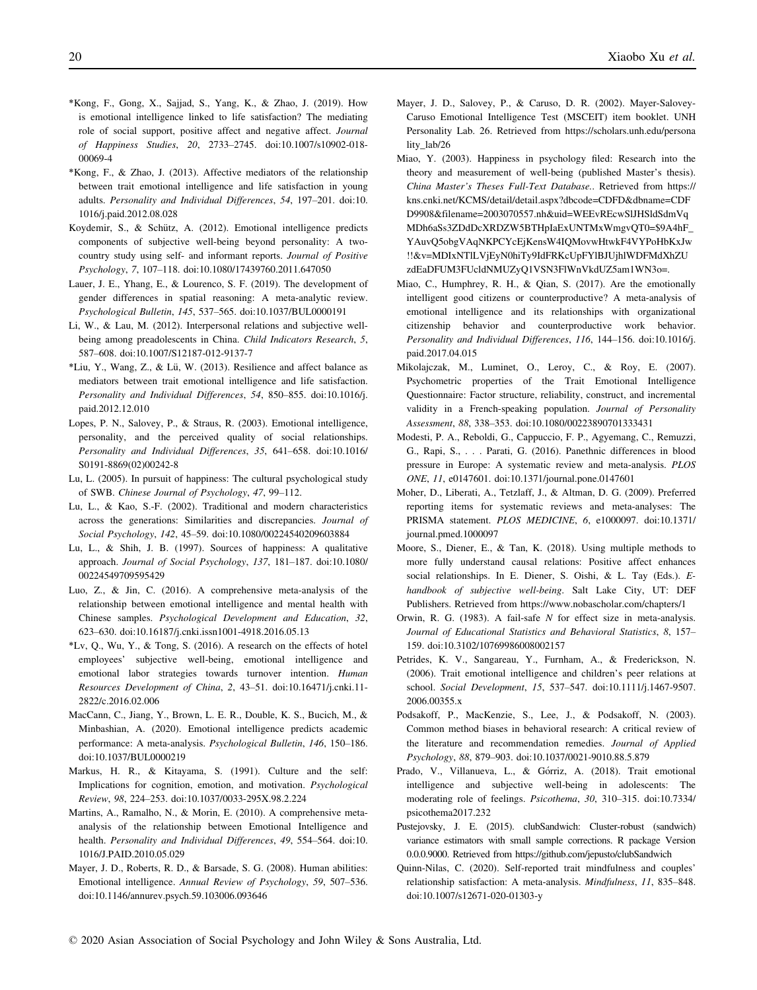- \*Kong, F., Gong, X., Sajjad, S., Yang, K., & Zhao, J. (2019). How is emotional intelligence linked to life satisfaction? The mediating role of social support, positive affect and negative affect. Journal of Happiness Studies, 20, 2733–2745. doi[:10.1007/s10902-018-](https://doi.org/10.1007/s10902-018-00069-4) [00069-4](https://doi.org/10.1007/s10902-018-00069-4)
- \*Kong, F., & Zhao, J. (2013). Affective mediators of the relationship between trait emotional intelligence and life satisfaction in young adults. Personality and Individual Differences, 54, 197–201. doi[:10.](https://doi.org/10.1016/j.paid.2012.08.028) [1016/j.paid.2012.08.028](https://doi.org/10.1016/j.paid.2012.08.028)
- Koydemir, S., & Schütz, A.  $(2012)$ . Emotional intelligence predicts components of subjective well-being beyond personality: A twocountry study using self- and informant reports. Journal of Positive Psychology, 7, 107–118. doi:[10.1080/17439760.2011.647050](https://doi.org/10.1080/17439760.2011.647050)
- Lauer, J. E., Yhang, E., & Lourenco, S. F. (2019). The development of gender differences in spatial reasoning: A meta-analytic review. Psychological Bulletin, 145, 537–565. doi[:10.1037/BUL0000191](https://doi.org/10.1037/BUL0000191)
- Li, W., & Lau, M. (2012). Interpersonal relations and subjective wellbeing among preadolescents in China. Child Indicators Research, 5, 587–608. doi:[10.1007/S12187-012-9137-7](https://doi.org/10.1007/S12187-012-9137-7)
- \*Liu, Y., Wang, Z., & L€u, W. (2013). Resilience and affect balance as mediators between trait emotional intelligence and life satisfaction. Personality and Individual Differences, 54, 850–855. doi[:10.1016/j.](https://doi.org/10.1016/j.paid.2012.12.010) [paid.2012.12.010](https://doi.org/10.1016/j.paid.2012.12.010)
- Lopes, P. N., Salovey, P., & Straus, R. (2003). Emotional intelligence, personality, and the perceived quality of social relationships. Personality and Individual Differences, 35, 641–658. doi[:10.1016/](https://doi.org/10.1016/S0191-8869(02)00242-8) [S0191-8869\(02\)00242-8](https://doi.org/10.1016/S0191-8869(02)00242-8)
- Lu, L. (2005). In pursuit of happiness: The cultural psychological study of SWB. Chinese Journal of Psychology, 47, 99–112.
- Lu, L., & Kao, S.-F. (2002). Traditional and modern characteristics across the generations: Similarities and discrepancies. Journal of Social Psychology, 142, 45–59. doi[:10.1080/00224540209603884](https://doi.org/10.1080/00224540209603884)
- Lu, L., & Shih, J. B. (1997). Sources of happiness: A qualitative approach. Journal of Social Psychology, 137, 181–187. doi[:10.1080/](https://doi.org/10.1080/00224549709595429) [00224549709595429](https://doi.org/10.1080/00224549709595429)
- Luo, Z., & Jin, C. (2016). A comprehensive meta-analysis of the relationship between emotional intelligence and mental health with Chinese samples. Psychological Development and Education, 32, 623–630. doi:[10.16187/j.cnki.issn1001-4918.2016.05.13](https://doi.org/10.16187/j.cnki.issn1001-4918.2016.05.13)
- $*Lv$ , Q., Wu, Y., & Tong, S. (2016). A research on the effects of hotel employees' subjective well-being, emotional intelligence and emotional labor strategies towards turnover intention. Human Resources Development of China, 2, 43–51. doi:[10.16471/j.cnki.11-](https://doi.org/10.16471/j.cnki.11-2822/c.2016.02.006) [2822/c.2016.02.006](https://doi.org/10.16471/j.cnki.11-2822/c.2016.02.006)
- MacCann, C., Jiang, Y., Brown, L. E. R., Double, K. S., Bucich, M., & Minbashian, A. (2020). Emotional intelligence predicts academic performance: A meta-analysis. Psychological Bulletin, 146, 150–186. doi[:10.1037/BUL0000219](https://doi.org/10.1037/BUL0000219)
- Markus, H. R., & Kitayama, S. (1991). Culture and the self: Implications for cognition, emotion, and motivation. Psychological Review, 98, 224–253. doi[:10.1037/0033-295X.98.2.224](https://doi.org/10.1037/0033-295X.98.2.224)
- Martins, A., Ramalho, N., & Morin, E. (2010). A comprehensive metaanalysis of the relationship between Emotional Intelligence and health. Personality and Individual Differences, 49, 554–564. doi[:10.](https://doi.org/10.1016/J.PAID.2010.05.029) [1016/J.PAID.2010.05.029](https://doi.org/10.1016/J.PAID.2010.05.029)
- Mayer, J. D., Roberts, R. D., & Barsade, S. G. (2008). Human abilities: Emotional intelligence. Annual Review of Psychology, 59, 507–536. doi[:10.1146/annurev.psych.59.103006.093646](https://doi.org/10.1146/annurev.psych.59.103006.093646)
- Mayer, J. D., Salovey, P., & Caruso, D. R. (2002). Mayer-Salovey-Caruso Emotional Intelligence Test (MSCEIT) item booklet. UNH Personality Lab. 26. Retrieved from [https://scholars.unh.edu/persona](https://scholars.unh.edu/personality_lab/26) [lity\\_lab/26](https://scholars.unh.edu/personality_lab/26)
- Miao, Y. (2003). Happiness in psychology filed: Research into the theory and measurement of well-being (published Master's thesis). China Master's Theses Full-Text Database.. Retrieved from [https://](https://kns.cnki.net/KCMS/detail/detail.aspx?dbcode=CDFD&dbname=CDFD9908&filename=2003070557.nh&uid=WEEvREcwSlJHSldSdmVqMDh6aSs3ZDdDcXRDZW5BTHpIaExUNTMxWmgvQT0=$9A4hF_YAuvQ5obgVAqNKPCYcEjKensW4IQMovwHtwkF4VYPoHbKxJw!!&v=MDIxNTlLVjEyN0hiTy9IdFRKcUpFYlBJUjhlWDFMdXhZUzdEaDFUM3FUcldNMUZyQ1VSN3FlWnVkdUZ5am1WN3o=) [kns.cnki.net/KCMS/detail/detail.aspx?dbcode=CDFD&dbname=CDF](https://kns.cnki.net/KCMS/detail/detail.aspx?dbcode=CDFD&dbname=CDFD9908&filename=2003070557.nh&uid=WEEvREcwSlJHSldSdmVqMDh6aSs3ZDdDcXRDZW5BTHpIaExUNTMxWmgvQT0=$9A4hF_YAuvQ5obgVAqNKPCYcEjKensW4IQMovwHtwkF4VYPoHbKxJw!!&v=MDIxNTlLVjEyN0hiTy9IdFRKcUpFYlBJUjhlWDFMdXhZUzdEaDFUM3FUcldNMUZyQ1VSN3FlWnVkdUZ5am1WN3o=) [D9908&filename=2003070557.nh&uid=WEEvREcwSlJHSldSdmVq](https://kns.cnki.net/KCMS/detail/detail.aspx?dbcode=CDFD&dbname=CDFD9908&filename=2003070557.nh&uid=WEEvREcwSlJHSldSdmVqMDh6aSs3ZDdDcXRDZW5BTHpIaExUNTMxWmgvQT0=$9A4hF_YAuvQ5obgVAqNKPCYcEjKensW4IQMovwHtwkF4VYPoHbKxJw!!&v=MDIxNTlLVjEyN0hiTy9IdFRKcUpFYlBJUjhlWDFMdXhZUzdEaDFUM3FUcldNMUZyQ1VSN3FlWnVkdUZ5am1WN3o=) [MDh6aSs3ZDdDcXRDZW5BTHpIaExUNTMxWmgvQT0=\\$9A4hF\\_](https://kns.cnki.net/KCMS/detail/detail.aspx?dbcode=CDFD&dbname=CDFD9908&filename=2003070557.nh&uid=WEEvREcwSlJHSldSdmVqMDh6aSs3ZDdDcXRDZW5BTHpIaExUNTMxWmgvQT0=$9A4hF_YAuvQ5obgVAqNKPCYcEjKensW4IQMovwHtwkF4VYPoHbKxJw!!&v=MDIxNTlLVjEyN0hiTy9IdFRKcUpFYlBJUjhlWDFMdXhZUzdEaDFUM3FUcldNMUZyQ1VSN3FlWnVkdUZ5am1WN3o=) [YAuvQ5obgVAqNKPCYcEjKensW4IQMovwHtwkF4VYPoHbKxJw](https://kns.cnki.net/KCMS/detail/detail.aspx?dbcode=CDFD&dbname=CDFD9908&filename=2003070557.nh&uid=WEEvREcwSlJHSldSdmVqMDh6aSs3ZDdDcXRDZW5BTHpIaExUNTMxWmgvQT0=$9A4hF_YAuvQ5obgVAqNKPCYcEjKensW4IQMovwHtwkF4VYPoHbKxJw!!&v=MDIxNTlLVjEyN0hiTy9IdFRKcUpFYlBJUjhlWDFMdXhZUzdEaDFUM3FUcldNMUZyQ1VSN3FlWnVkdUZ5am1WN3o=) [!!&v=MDIxNTlLVjEyN0hiTy9IdFRKcUpFYlBJUjhlWDFMdXhZU](https://kns.cnki.net/KCMS/detail/detail.aspx?dbcode=CDFD&dbname=CDFD9908&filename=2003070557.nh&uid=WEEvREcwSlJHSldSdmVqMDh6aSs3ZDdDcXRDZW5BTHpIaExUNTMxWmgvQT0=$9A4hF_YAuvQ5obgVAqNKPCYcEjKensW4IQMovwHtwkF4VYPoHbKxJw!!&v=MDIxNTlLVjEyN0hiTy9IdFRKcUpFYlBJUjhlWDFMdXhZUzdEaDFUM3FUcldNMUZyQ1VSN3FlWnVkdUZ5am1WN3o=) [zdEaDFUM3FUcldNMUZyQ1VSN3FlWnVkdUZ5am1WN3o=](https://kns.cnki.net/KCMS/detail/detail.aspx?dbcode=CDFD&dbname=CDFD9908&filename=2003070557.nh&uid=WEEvREcwSlJHSldSdmVqMDh6aSs3ZDdDcXRDZW5BTHpIaExUNTMxWmgvQT0=$9A4hF_YAuvQ5obgVAqNKPCYcEjKensW4IQMovwHtwkF4VYPoHbKxJw!!&v=MDIxNTlLVjEyN0hiTy9IdFRKcUpFYlBJUjhlWDFMdXhZUzdEaDFUM3FUcldNMUZyQ1VSN3FlWnVkdUZ5am1WN3o=).
- Miao, C., Humphrey, R. H., & Qian, S. (2017). Are the emotionally intelligent good citizens or counterproductive? A meta-analysis of emotional intelligence and its relationships with organizational citizenship behavior and counterproductive work behavior. Personality and Individual Differences, 116, 144–156. doi[:10.1016/j.](https://doi.org/10.1016/j.paid.2017.04.015) [paid.2017.04.015](https://doi.org/10.1016/j.paid.2017.04.015)
- Mikolajczak, M., Luminet, O., Leroy, C., & Roy, E. (2007). Psychometric properties of the Trait Emotional Intelligence Questionnaire: Factor structure, reliability, construct, and incremental validity in a French-speaking population. Journal of Personality Assessment, 88, 338–353. doi[:10.1080/00223890701333431](https://doi.org/10.1080/00223890701333431)
- Modesti, P. A., Reboldi, G., Cappuccio, F. P., Agyemang, C., Remuzzi, G., Rapi, S., . . . Parati, G. (2016). Panethnic differences in blood pressure in Europe: A systematic review and meta-analysis. PLOS ONE, 11, e0147601. doi[:10.1371/journal.pone.0147601](https://doi.org/10.1371/journal.pone.0147601)
- Moher, D., Liberati, A., Tetzlaff, J., & Altman, D. G. (2009). Preferred reporting items for systematic reviews and meta-analyses: The PRISMA statement. PLOS MEDICINE, 6, e1000097. doi[:10.1371/](https://doi.org/10.1371/journal.pmed.1000097) [journal.pmed.1000097](https://doi.org/10.1371/journal.pmed.1000097)
- Moore, S., Diener, E., & Tan, K. (2018). Using multiple methods to more fully understand causal relations: Positive affect enhances social relationships. In E. Diener, S. Oishi, & L. Tay (Eds.). Ehandbook of subjective well-being. Salt Lake City, UT: DEF Publishers. Retrieved from<https://www.nobascholar.com/chapters/1>
- Orwin, R. G. (1983). A fail-safe N for effect size in meta-analysis. Journal of Educational Statistics and Behavioral Statistics, 8, 157– 159. doi:[10.3102/10769986008002157](https://doi.org/10.3102/10769986008002157)
- Petrides, K. V., Sangareau, Y., Furnham, A., & Frederickson, N. (2006). Trait emotional intelligence and children's peer relations at school. Social Development, 15, 537–547. doi:[10.1111/j.1467-9507.](https://doi.org/10.1111/j.1467-9507.2006.00355.x) [2006.00355.x](https://doi.org/10.1111/j.1467-9507.2006.00355.x)
- Podsakoff, P., MacKenzie, S., Lee, J., & Podsakoff, N. (2003). Common method biases in behavioral research: A critical review of the literature and recommendation remedies. Journal of Applied Psychology, 88, 879–903. doi:[10.1037/0021-9010.88.5.879](https://doi.org/10.1037/0021-9010.88.5.879)
- Prado, V., Villanueva, L., & Górriz, A. (2018). Trait emotional intelligence and subjective well-being in adolescents: The moderating role of feelings. Psicothema, 30, 310–315. doi[:10.7334/](https://doi.org/10.7334/psicothema2017.232) [psicothema2017.232](https://doi.org/10.7334/psicothema2017.232)
- Pustejovsky, J. E. (2015). clubSandwich: Cluster-robust (sandwich) variance estimators with small sample corrections. R package Version 0.0.0.9000. Retrieved from<https://github.com/jepusto/clubSandwich>
- Quinn-Nilas, C. (2020). Self-reported trait mindfulness and couples' relationship satisfaction: A meta-analysis. Mindfulness, 11, 835–848. doi[:10.1007/s12671-020-01303-y](https://doi.org/10.1007/s12671-020-01303-y)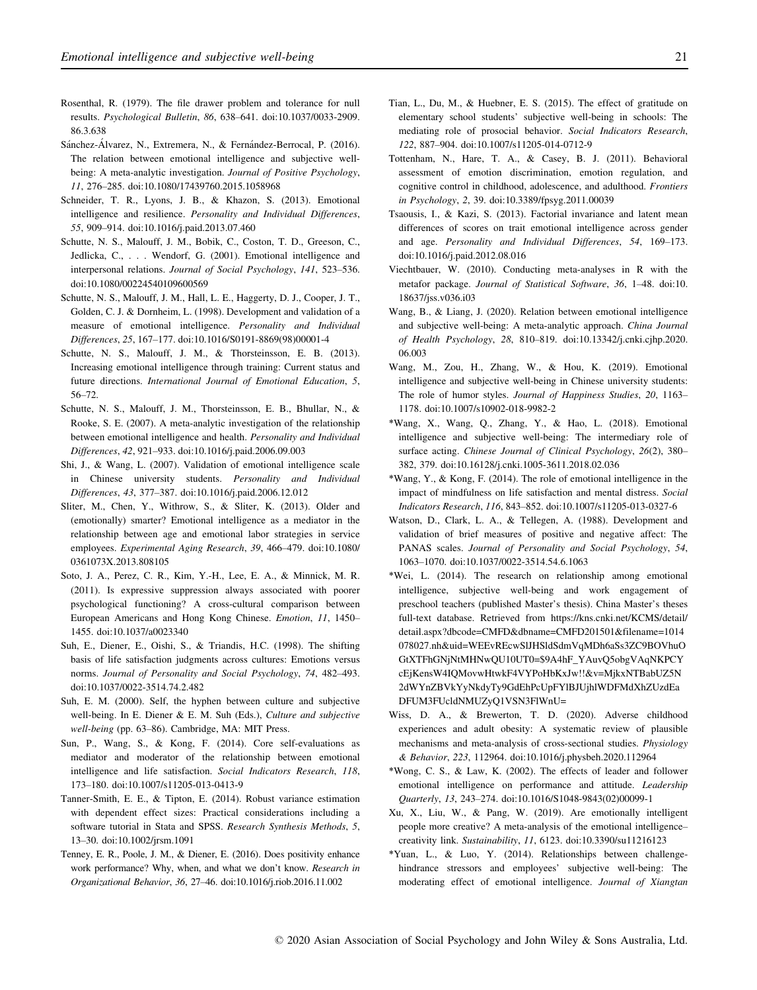- Rosenthal, R. (1979). The file drawer problem and tolerance for null results. Psychological Bulletin, 86, 638–641. doi:[10.1037/0033-2909.](https://doi.org/10.1037/0033-2909.86.3.638) [86.3.638](https://doi.org/10.1037/0033-2909.86.3.638)
- Sánchez-Álvarez, N., Extremera, N., & Fernández-Berrocal, P. (2016). The relation between emotional intelligence and subjective wellbeing: A meta-analytic investigation. Journal of Positive Psychology, 11, 276–285. doi[:10.1080/17439760.2015.1058968](https://doi.org/10.1080/17439760.2015.1058968)
- Schneider, T. R., Lyons, J. B., & Khazon, S. (2013). Emotional intelligence and resilience. Personality and Individual Differences, 55, 909–914. doi[:10.1016/j.paid.2013.07.460](https://doi.org/10.1016/j.paid.2013.07.460)
- Schutte, N. S., Malouff, J. M., Bobik, C., Coston, T. D., Greeson, C., Jedlicka, C., . . . Wendorf, G. (2001). Emotional intelligence and interpersonal relations. Journal of Social Psychology, 141, 523–536. doi[:10.1080/00224540109600569](https://doi.org/10.1080/00224540109600569)
- Schutte, N. S., Malouff, J. M., Hall, L. E., Haggerty, D. J., Cooper, J. T., Golden, C. J. & Dornheim, L. (1998). Development and validation of a measure of emotional intelligence. Personality and Individual Differences, 25, 167–177. doi:[10.1016/S0191-8869\(98\)00001-4](https://doi.org/10.1016/S0191-8869(98)00001-4)
- Schutte, N. S., Malouff, J. M., & Thorsteinsson, E. B. (2013). Increasing emotional intelligence through training: Current status and future directions. International Journal of Emotional Education, 5, 56–72.
- Schutte, N. S., Malouff, J. M., Thorsteinsson, E. B., Bhullar, N., & Rooke, S. E. (2007). A meta-analytic investigation of the relationship between emotional intelligence and health. Personality and Individual Differences, 42, 921–933. doi:[10.1016/j.paid.2006.09.003](https://doi.org/10.1016/j.paid.2006.09.003)
- Shi, J., & Wang, L. (2007). Validation of emotional intelligence scale in Chinese university students. Personality and Individual Differences, 43, 377–387. doi:[10.1016/j.paid.2006.12.012](https://doi.org/10.1016/j.paid.2006.12.012)
- Sliter, M., Chen, Y., Withrow, S., & Sliter, K. (2013). Older and (emotionally) smarter? Emotional intelligence as a mediator in the relationship between age and emotional labor strategies in service employees. Experimental Aging Research, 39, 466–479. doi[:10.1080/](https://doi.org/10.1080/0361073X.2013.808105) [0361073X.2013.808105](https://doi.org/10.1080/0361073X.2013.808105)
- Soto, J. A., Perez, C. R., Kim, Y.-H., Lee, E. A., & Minnick, M. R. (2011). Is expressive suppression always associated with poorer psychological functioning? A cross-cultural comparison between European Americans and Hong Kong Chinese. Emotion, 11, 1450– 1455. doi:[10.1037/a0023340](https://doi.org/10.1037/a0023340)
- Suh, E., Diener, E., Oishi, S., & Triandis, H.C. (1998). The shifting basis of life satisfaction judgments across cultures: Emotions versus norms. Journal of Personality and Social Psychology, 74, 482–493. doi[:10.1037/0022-3514.74.2.482](https://doi.org/10.1037/0022-3514.74.2.482)
- Suh, E. M. (2000). Self, the hyphen between culture and subjective well-being. In E. Diener & E. M. Suh (Eds.), Culture and subjective well-being (pp. 63–86). Cambridge, MA: MIT Press.
- Sun, P., Wang, S., & Kong, F. (2014). Core self-evaluations as mediator and moderator of the relationship between emotional intelligence and life satisfaction. Social Indicators Research, 118, 173–180. doi:[10.1007/s11205-013-0413-9](https://doi.org/10.1007/s11205-013-0413-9)
- Tanner-Smith, E. E., & Tipton, E. (2014). Robust variance estimation with dependent effect sizes: Practical considerations including a software tutorial in Stata and SPSS. Research Synthesis Methods, 5, 13–30. doi:[10.1002/jrsm.1091](https://doi.org/10.1002/jrsm.1091)
- Tenney, E. R., Poole, J. M., & Diener, E. (2016). Does positivity enhance work performance? Why, when, and what we don't know. Research in Organizational Behavior, 36, 27–46. doi:[10.1016/j.riob.2016.11.002](https://doi.org/10.1016/j.riob.2016.11.002)
- Tian, L., Du, M., & Huebner, E. S. (2015). The effect of gratitude on elementary school students' subjective well-being in schools: The mediating role of prosocial behavior. Social Indicators Research, 122, 887–904. doi[:10.1007/s11205-014-0712-9](https://doi.org/10.1007/s11205-014-0712-9)
- Tottenham, N., Hare, T. A., & Casey, B. J. (2011). Behavioral assessment of emotion discrimination, emotion regulation, and cognitive control in childhood, adolescence, and adulthood. Frontiers in Psychology, 2, 39. doi:[10.3389/fpsyg.2011.00039](https://doi.org/10.3389/fpsyg.2011.00039)
- Tsaousis, I., & Kazi, S. (2013). Factorial invariance and latent mean differences of scores on trait emotional intelligence across gender and age. Personality and Individual Differences, 54, 169–173. doi[:10.1016/j.paid.2012.08.016](https://doi.org/10.1016/j.paid.2012.08.016)
- Viechtbauer, W. (2010). Conducting meta-analyses in R with the metafor package. Journal of Statistical Software, 36, 1–48. doi[:10.](https://doi.org/10.18637/jss.v036.i03) [18637/jss.v036.i03](https://doi.org/10.18637/jss.v036.i03)
- Wang, B., & Liang, J. (2020). Relation between emotional intelligence and subjective well-being: A meta-analytic approach. China Journal of Health Psychology, 28, 810–819. doi:[10.13342/j.cnki.cjhp.2020.](https://doi.org/10.13342/j.cnki.cjhp.2020.06.003) [06.003](https://doi.org/10.13342/j.cnki.cjhp.2020.06.003)
- Wang, M., Zou, H., Zhang, W., & Hou, K. (2019). Emotional intelligence and subjective well-being in Chinese university students: The role of humor styles. Journal of Happiness Studies, 20, 1163– 1178. doi:[10.1007/s10902-018-9982-2](https://doi.org/10.1007/s10902-018-9982-2)
- \*Wang, X., Wang, Q., Zhang, Y., & Hao, L. (2018). Emotional intelligence and subjective well-being: The intermediary role of surface acting. Chinese Journal of Clinical Psychology, 26(2), 380-382, 379. doi[:10.16128/j.cnki.1005-3611.2018.02.036](https://doi.org/10.16128/j.cnki.1005-3611.2018.02.036)
- \*Wang, Y., & Kong, F. (2014). The role of emotional intelligence in the impact of mindfulness on life satisfaction and mental distress. Social Indicators Research, 116, 843–852. doi[:10.1007/s11205-013-0327-6](https://doi.org/10.1007/s11205-013-0327-6)
- Watson, D., Clark, L. A., & Tellegen, A. (1988). Development and validation of brief measures of positive and negative affect: The PANAS scales. Journal of Personality and Social Psychology, 54, 1063–1070. doi[:10.1037/0022-3514.54.6.1063](https://doi.org/10.1037/0022-3514.54.6.1063)
- \*Wei, L. (2014). The research on relationship among emotional intelligence, subjective well-being and work engagement of preschool teachers (published Master's thesis). China Master's theses full-text database. Retrieved from [https://kns.cnki.net/KCMS/detail/](https://kns.cnki.net/KCMS/detail/detail.aspx?dbcode=CMFD&dbname=CMFD201501&filename=1014078027.nh&uid=WEEvREcwSlJHSldSdmVqMDh6aSs3ZC9BOVhuOGtXTFhGNjNtMHNwQU10UT0=$9A4hF_YAuvQ5obgVAqNKPCYcEjKensW4IQMovwHtwkF4VYPoHbKxJw!!&v=MjkxNTBabUZ5N2dWYnZBVkYyNkdyTy9GdEhPcUpFYlBJUjhlWDFMdXhZUzdEaDFUM3FUcldNMUZyQ1VSN3FlWnU=) [detail.aspx?dbcode=CMFD&dbname=CMFD201501&filename=1014](https://kns.cnki.net/KCMS/detail/detail.aspx?dbcode=CMFD&dbname=CMFD201501&filename=1014078027.nh&uid=WEEvREcwSlJHSldSdmVqMDh6aSs3ZC9BOVhuOGtXTFhGNjNtMHNwQU10UT0=$9A4hF_YAuvQ5obgVAqNKPCYcEjKensW4IQMovwHtwkF4VYPoHbKxJw!!&v=MjkxNTBabUZ5N2dWYnZBVkYyNkdyTy9GdEhPcUpFYlBJUjhlWDFMdXhZUzdEaDFUM3FUcldNMUZyQ1VSN3FlWnU=) [078027.nh&uid=WEEvREcwSlJHSldSdmVqMDh6aSs3ZC9BOVhuO](https://kns.cnki.net/KCMS/detail/detail.aspx?dbcode=CMFD&dbname=CMFD201501&filename=1014078027.nh&uid=WEEvREcwSlJHSldSdmVqMDh6aSs3ZC9BOVhuOGtXTFhGNjNtMHNwQU10UT0=$9A4hF_YAuvQ5obgVAqNKPCYcEjKensW4IQMovwHtwkF4VYPoHbKxJw!!&v=MjkxNTBabUZ5N2dWYnZBVkYyNkdyTy9GdEhPcUpFYlBJUjhlWDFMdXhZUzdEaDFUM3FUcldNMUZyQ1VSN3FlWnU=) [GtXTFhGNjNtMHNwQU10UT0=\\$9A4hF\\_YAuvQ5obgVAqNKPCY](https://kns.cnki.net/KCMS/detail/detail.aspx?dbcode=CMFD&dbname=CMFD201501&filename=1014078027.nh&uid=WEEvREcwSlJHSldSdmVqMDh6aSs3ZC9BOVhuOGtXTFhGNjNtMHNwQU10UT0=$9A4hF_YAuvQ5obgVAqNKPCYcEjKensW4IQMovwHtwkF4VYPoHbKxJw!!&v=MjkxNTBabUZ5N2dWYnZBVkYyNkdyTy9GdEhPcUpFYlBJUjhlWDFMdXhZUzdEaDFUM3FUcldNMUZyQ1VSN3FlWnU=) [cEjKensW4IQMovwHtwkF4VYPoHbKxJw!!&v=MjkxNTBabUZ5N](https://kns.cnki.net/KCMS/detail/detail.aspx?dbcode=CMFD&dbname=CMFD201501&filename=1014078027.nh&uid=WEEvREcwSlJHSldSdmVqMDh6aSs3ZC9BOVhuOGtXTFhGNjNtMHNwQU10UT0=$9A4hF_YAuvQ5obgVAqNKPCYcEjKensW4IQMovwHtwkF4VYPoHbKxJw!!&v=MjkxNTBabUZ5N2dWYnZBVkYyNkdyTy9GdEhPcUpFYlBJUjhlWDFMdXhZUzdEaDFUM3FUcldNMUZyQ1VSN3FlWnU=) [2dWYnZBVkYyNkdyTy9GdEhPcUpFYlBJUjhlWDFMdXhZUzdEa](https://kns.cnki.net/KCMS/detail/detail.aspx?dbcode=CMFD&dbname=CMFD201501&filename=1014078027.nh&uid=WEEvREcwSlJHSldSdmVqMDh6aSs3ZC9BOVhuOGtXTFhGNjNtMHNwQU10UT0=$9A4hF_YAuvQ5obgVAqNKPCYcEjKensW4IQMovwHtwkF4VYPoHbKxJw!!&v=MjkxNTBabUZ5N2dWYnZBVkYyNkdyTy9GdEhPcUpFYlBJUjhlWDFMdXhZUzdEaDFUM3FUcldNMUZyQ1VSN3FlWnU=) [DFUM3FUcldNMUZyQ1VSN3FlWnU=](https://kns.cnki.net/KCMS/detail/detail.aspx?dbcode=CMFD&dbname=CMFD201501&filename=1014078027.nh&uid=WEEvREcwSlJHSldSdmVqMDh6aSs3ZC9BOVhuOGtXTFhGNjNtMHNwQU10UT0=$9A4hF_YAuvQ5obgVAqNKPCYcEjKensW4IQMovwHtwkF4VYPoHbKxJw!!&v=MjkxNTBabUZ5N2dWYnZBVkYyNkdyTy9GdEhPcUpFYlBJUjhlWDFMdXhZUzdEaDFUM3FUcldNMUZyQ1VSN3FlWnU=)
- Wiss, D. A., & Brewerton, T. D. (2020). Adverse childhood experiences and adult obesity: A systematic review of plausible mechanisms and meta-analysis of cross-sectional studies. Physiology & Behavior, 223, 112964. doi:[10.1016/j.physbeh.2020.112964](https://doi.org/10.1016/j.physbeh.2020.112964)
- \*Wong, C. S., & Law, K. (2002). The effects of leader and follower emotional intelligence on performance and attitude. Leadership Quarterly, 13, 243–274. doi[:10.1016/S1048-9843\(02\)00099-1](https://doi.org/10.1016/S1048-9843(02)00099-1)
- Xu, X., Liu, W., & Pang, W. (2019). Are emotionally intelligent people more creative? A meta-analysis of the emotional intelligence– creativity link. Sustainability, 11, 6123. doi:[10.3390/su11216123](https://doi.org/10.3390/su11216123)
- \*Yuan, L., & Luo, Y. (2014). Relationships between challengehindrance stressors and employees' subjective well-being: The moderating effect of emotional intelligence. Journal of Xiangtan